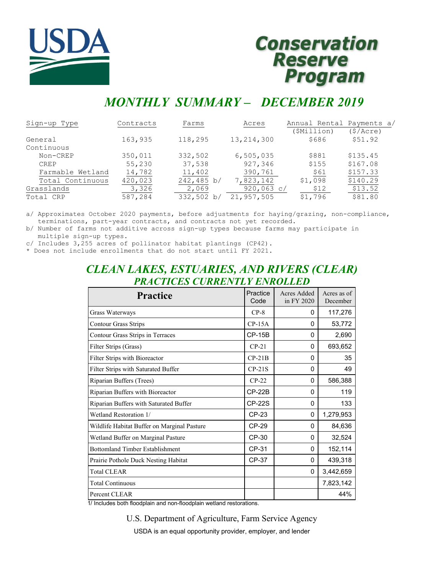

# **Conservation** Reserve<br>Program

# *MONTHLY SUMMARY – DECEMBER 2019*

| Sign-up Type     | Contracts | Farms      | Acres        | Annual Rental Payments a/ |          |
|------------------|-----------|------------|--------------|---------------------------|----------|
|                  |           |            |              | (\$Million)               | (S/Acre) |
| General          | 163,935   | 118,295    | 13, 214, 300 | \$686                     | \$51.92  |
| Continuous       |           |            |              |                           |          |
| Non-CREP         | 350,011   | 332,502    | 6, 505, 035  | \$881                     | \$135.45 |
| <b>CREP</b>      | 55,230    | 37,538     | 927,346      | \$155                     | \$167.08 |
| Farmable Wetland | 14,782    | 11,402     | 390,761      | \$61                      | \$157.33 |
| Total Continuous | 420,023   | 242,485 b/ | 7,823,142    | \$1,098                   | \$140.29 |
| Grasslands       | 3,326     | 2,069      | 920,063 c/   | \$12                      | \$13.52  |
| Total CRP        | 587,284   | 332,502 b/ | 21,957,505   | \$1,796                   | \$81.80  |

a/ Approximates October 2020 payments, before adjustments for haying/grazing, non-compliance, terminations, part-year contracts, and contracts not yet recorded.

b/ Number of farms not additive across sign-up types because farms may participate in multiple sign-up types.

c/ Includes 3,255 acres of pollinator habitat plantings (CP42).

\* Does not include enrollments that do not start until FY 2021.

# *CLEAN LAKES, ESTUARIES, AND RIVERS (CLEAR) PRACTICES CURRENTLY ENROLLED*

| <b>Practice</b>                             | Practice<br>Code | Acres Added<br>in FY 2020 | Acres as of<br>December |
|---------------------------------------------|------------------|---------------------------|-------------------------|
| Grass Waterways                             | $CP-8$           | $\Omega$                  | 117,276                 |
| <b>Contour Grass Strips</b>                 | $CP-15A$         | $\Omega$                  | 53,772                  |
| Contour Grass Strips in Terraces            | $CP-15B$         | 0                         | 2,690                   |
| Filter Strips (Grass)                       | $CP-21$          | $\Omega$                  | 693,652                 |
| Filter Strips with Bioreactor               | $CP-21B$         | $\Omega$                  | 35                      |
| Filter Strips with Saturated Buffer         | $CP-21S$         | $\Omega$                  | 49                      |
| Riparian Buffers (Trees)                    | $CP-22$          | $\Omega$                  | 586,388                 |
| Riparian Buffers with Bioreactor            | <b>CP-22B</b>    | $\Omega$                  | 119                     |
| Riparian Buffers with Saturated Buffer      | <b>CP-22S</b>    | $\Omega$                  | 133                     |
| Wetland Restoration 1/                      | CP-23            | 0                         | 1,279,953               |
| Wildlife Habitat Buffer on Marginal Pasture | CP-29            | $\Omega$                  | 84,636                  |
| Wetland Buffer on Marginal Pasture          | CP-30            | $\Omega$                  | 32,524                  |
| <b>Bottomland Timber Establishment</b>      | CP-31            | $\Omega$                  | 152,114                 |
| Prairie Pothole Duck Nesting Habitat        | CP-37            | $\Omega$                  | 439,318                 |
| <b>Total CLEAR</b>                          |                  | $\Omega$                  | 3,442,659               |
| <b>Total Continuous</b>                     |                  |                           | 7,823,142               |
| Percent CLEAR                               |                  |                           | 44%                     |

1/ Includes both floodplain and non-floodplain wetland restorations.

U.S. Department of Agriculture, Farm Service Agency

USDA is an equal opportunity provider, employer, and lender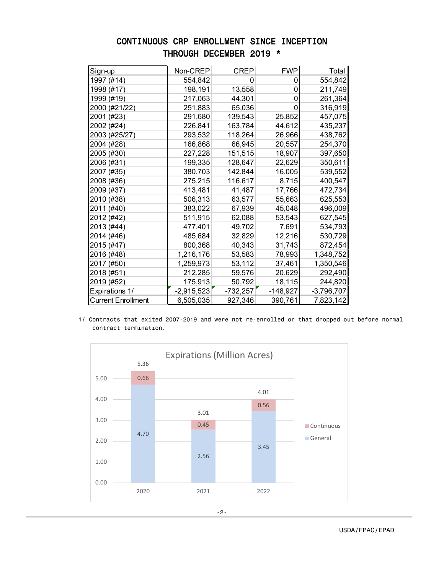## CONTINUOUS CRP ENROLLMENT SINCE INCEPTION THROUGH DECEMBER 2019 \*

| Sign-up                   | Non-CREP     | <b>CREP</b> | <b>FWP</b> | Total        |
|---------------------------|--------------|-------------|------------|--------------|
| 1997 (#14)                | 554,842      | O           | 0          | 554,842      |
| 1998 (#17)                | 198,191      | 13,558      | 0          | 211,749      |
| 1999 (#19)                | 217,063      | 44,301      | 0          | 261,364      |
| 2000 (#21/22)             | 251,883      | 65,036      | 0          | 316,919      |
| 2001 (#23)                | 291,680      | 139,543     | 25,852     | 457,075      |
| 2002 (#24)                | 226,841      | 163,784     | 44,612     | 435,237      |
| 2003 (#25/27)             | 293,532      | 118,264     | 26,966     | 438,762      |
| 2004 (#28)                | 166,868      | 66,945      | 20,557     | 254,370      |
| 2005 (#30)                | 227,228      | 151,515     | 18,907     | 397,650      |
| 2006 (#31)                | 199,335      | 128,647     | 22,629     | 350,611      |
| 2007 (#35)                | 380,703      | 142,844     | 16,005     | 539,552      |
| 2008 (#36)                | 275,215      | 116,617     | 8,715      | 400,547      |
| 2009 (#37)                | 413,481      | 41,487      | 17,766     | 472,734      |
| 2010 (#38)                | 506,313      | 63,577      | 55,663     | 625,553      |
| 2011 (#40)                | 383,022      | 67,939      | 45,048     | 496,009      |
| 2012 (#42)                | 511,915      | 62,088      | 53,543     | 627,545      |
| 2013 (#44)                | 477,401      | 49,702      | 7,691      | 534,793      |
| 2014 (#46)                | 485,684      | 32,829      | 12,216     | 530,729      |
| 2015 (#47)                | 800,368      | 40,343      | 31,743     | 872,454      |
| 2016 (#48)                | 1,216,176    | 53,583      | 78,993     | 1,348,752    |
| 2017 (#50)                | 1,259,973    | 53,112      | 37,461     | 1,350,546    |
| 2018 (#51)                | 212,285      | 59,576      | 20,629     | 292,490      |
| 2019 (#52)                | 175,913      | 50,792      | 18,115     | 244,820      |
| Expirations 1/            | $-2,915,523$ | $-732,257$  | $-148,927$ | $-3,796,707$ |
| <b>Current Enrollment</b> | 6,505,035    | 927,346     | 390,761    | 7,823,142    |

 1/ Contracts that exited 2007-2019 and were not re-enrolled or that dropped out before normal contract termination.

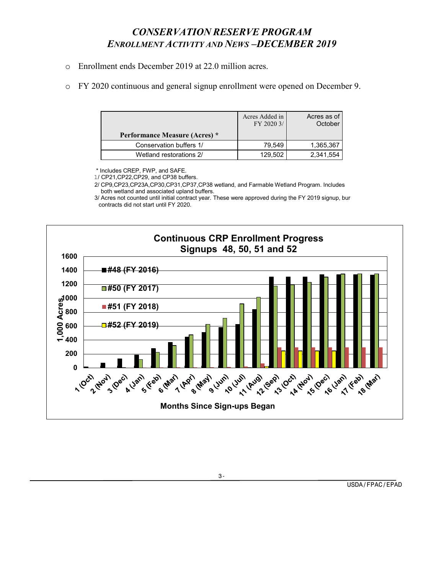# *CONSERVATION RESERVE PROGRAM ENROLLMENT ACTIVITY AND NEWS –DECEMBER 2019*

- o Enrollment ends December 2019 at 22.0 million acres.
- o FY 2020 continuous and general signup enrollment were opened on December 9.

| <b>Performance Measure (Acres)</b> * | Acres Added in<br>FY 2020 3/ | Acres as of<br>October |
|--------------------------------------|------------------------------|------------------------|
| Conservation buffers 1/              | 79.549                       | 1,365,367              |
| Wetland restorations 2/              | 129.502                      | 2,341,554              |

\* Includes CREP, FWP, and SAFE.

1/ CP21,CP22,CP29, and CP38 buffers.

 2/ CP9,CP23,CP23A,CP30,CP31,CP37,CP38 wetland, and Farmable Wetland Program. Includes both wetland and associated upland buffers.

 3/ Acres not counted until initial contract year. These were approved during the FY 2019 signup, bur contracts did not start until FY 2020.

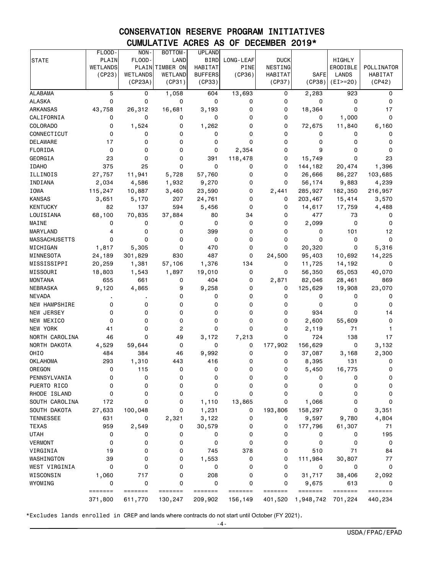# CONSERVATION RESERVE PROGRAM INITIATIVES CUMULATIVE ACRES AS OF DECEMBER 2019\*

|                      | FLOOD-             | NON-               | BOTTOM-            | <b>UPLAND</b>      |                    |                    |                      |                    |                                    |
|----------------------|--------------------|--------------------|--------------------|--------------------|--------------------|--------------------|----------------------|--------------------|------------------------------------|
| <b>STATE</b>         | PLAIN              | FLOOD-             | LAND               | <b>BIRD</b>        | LONG-LEAF          | <b>DUCK</b>        |                      | HIGHLY             |                                    |
|                      | <b>WETLANDS</b>    | PLAIN              | TIMBER ON          | <b>HABITAT</b>     | <b>PINE</b>        | NESTING            |                      | ERODIBLE           | POLLINATOR                         |
|                      | (CP23)             | WETLANDS           | WETLAND            | <b>BUFFERS</b>     | (CP36)             | <b>HABITAT</b>     | <b>SAFE</b>          | <b>LANDS</b>       | HABITAT                            |
|                      |                    | (CP23A)            | (CP31)             | (CP33)             |                    | (CP37)             | (CP38)               | $(EI>=20)$         | (CP42)                             |
| <b>ALABAMA</b>       | 5                  | 0                  | 1,058              | 604                | 13,693             | 0                  | 2,283                | 923                | 0                                  |
| <b>ALASKA</b>        | 0                  | 0                  | 0                  | 0                  | 0                  | 0                  | 0                    | 0                  | 0                                  |
| <b>ARKANSAS</b>      | 43,758             | 26,312             | 16,681             | 3,193              | 0                  | 0                  | 18,364               | $\Omega$           | 17                                 |
| CALIFORNIA           | 0                  | 0                  | 0                  | 0                  | 0                  | 0                  | 0                    | 1,000              | 0                                  |
| COLORADO             | 0                  | 1,524              | 0                  | 1,262              | 0                  | 0                  | 72,675               | 11,840             | 6,160                              |
| CONNECTICUT          | 0                  | 0                  | 0                  | 0                  | 0                  | 0                  | 0                    | 0                  | 0                                  |
| <b>DELAWARE</b>      | 17                 | 0                  | 0                  | 0                  | 0                  | 0                  | 0                    | 0                  | 0                                  |
| FLORIDA              | 0                  | 0                  | 0                  | 0                  | 2,354              | 0                  | 9                    | 0                  | 0                                  |
| GEORGIA              | 23                 | 0                  | 0                  | 391                | 118,478            | 0                  | 15,749               | 0                  | 23                                 |
| <b>IDAHO</b>         | 375                | 25                 | 0                  | 0                  | 0                  | 0                  | 144,182              | 20,474             | 1,396                              |
| ILLINOIS             | 27,757             | 11,941             | 5,728              | 57,760             | 0                  | 0                  | 26,666               | 86,227             | 103,685                            |
| INDIANA              | 2,034              | 4,586              | 1,932              | 9,270              | 0                  | 0                  | 56,174               | 9,883              | 4,239                              |
| <b>IOWA</b>          | 115,247            | 10,887             | 3,460              | 23,590             | 0                  | 2,441              | 285,927              | 182,350            | 216,957                            |
| <b>KANSAS</b>        | 3,651              | 5,170              | 207                | 24,761             | 0                  | 0                  | 203,467              | 15,414             | 3,570                              |
| <b>KENTUCKY</b>      | 82                 | 137                | 594                | 5,456              | 0                  | 0                  | 14,617               | 17,759             | 4,488                              |
| LOUISIANA            | 68,100             | 70,835             | 37,884             | 80                 | 34                 | 0                  | 477                  | 73                 | 0                                  |
| MAINE                | 0                  | 0                  | 0                  | 0                  | 0                  | 0                  | 2,099                | 0                  | 0                                  |
| MARYLAND             | 4                  | 0                  | 0                  | 399                | 0                  | 0                  | 0                    | 101                | 12                                 |
| <b>MASSACHUSETTS</b> | 0                  | 0                  | 0                  | 0                  | 0                  | 0                  | 0                    | 0                  | 0                                  |
| MICHIGAN             | 1,817              | 5,305              | 0                  | 470                | 0                  | 0                  | 20,320               | 0                  | 5,316                              |
| MINNESOTA            | 24,189             | 301,829            | 830                | 487                | 0                  | 24,500             | 95,403               | 10,692             | 14,225                             |
| MISSISSIPPI          | 20,259             | 1,381              | 57,106             | 1,376              | 134                | 0                  | 11,725               | 14,192             | 0                                  |
| MISSOURI             | 18,803             | 1,543              | 1,897              | 19,010             | 0                  | 0                  | 56,350               | 65,053             | 40,070                             |
| <b>MONTANA</b>       | 655                | 661                | 0                  | 404                | 0                  | 2,871              | 82,046               | 28,461             | 869                                |
| NEBRASKA             | 9,120              | 4,865              | 9                  | 9,258              | 0                  | 0                  | 125,629              | 19,908             | 23,070                             |
| <b>NEVADA</b>        |                    |                    | 0                  | 0                  | 0                  | 0                  | 0                    | 0                  | 0                                  |
| NEW HAMPSHIRE        | 0                  | 0                  | 0                  | 0                  | 0                  | 0                  | 0                    | 0                  | 0                                  |
| NEW JERSEY           | 0                  | 0                  | 0                  | 0                  | 0                  | 0                  | 934                  | 0                  | 14                                 |
| NEW MEXICO           | 0                  | 0                  | 0                  | 0                  | 0                  | 0                  | 2,600                | 55,609             | 0                                  |
| NEW YORK             | 41                 | 0                  | 2                  | 0                  | 0                  | 0                  | 2,119                | 71                 | 1                                  |
| NORTH CAROLINA       | 46                 | 0                  | 49                 | 3,172              | 7,213              | 0                  | 724                  | 138                | 17                                 |
| NORTH DAKOTA         | 4,529              | 59,644             | 0                  | 0                  | 0                  | 177,902            | 156,629              | 0                  | 3,132                              |
| OHIO                 | 484                | 384                | 46                 | 9,992              | 0                  | 0                  | 37,087               | 3,168              | 2,300                              |
| <b>OKLAHOMA</b>      | 293                | 1,310              | 443                | 416                | 0                  | 0                  | 8,395                | 131                | 0                                  |
| OREGON               | 0                  | 115                | 0                  | 0                  | 0                  | 0                  | 5,450                | 16,775             | 0                                  |
| PENNSYLVANIA         | 0                  | 0                  | 0                  | 0                  | 0                  | 0                  | 0                    | 0                  | 0                                  |
| PUERTO RICO          | 0                  | 0                  | 0                  | 0                  | 0                  | 0                  | 0                    | 0                  | 0                                  |
| RHODE ISLAND         | 0                  | 0                  | 0                  | 0                  | 0                  | 0                  | 0                    | 0                  | 0                                  |
| SOUTH CAROLINA       | 172                | 0                  | 0                  | 1,110              | 13,865             | 0                  | 1,066                | 0                  | 0                                  |
| SOUTH DAKOTA         | 27,633             | 100,048            | 0                  | 1,231              | 0                  | 193,806            | 158,297              | 0                  | 3,351                              |
| <b>TENNESSEE</b>     | 631                | 0                  | 2,321              | 3,122              | 0                  | 0                  | 9,597                | 9,780              | 4,804                              |
| <b>TEXAS</b>         | 959                | 2,549              | 0                  | 30,579             | 0                  | 0                  | 177,796              | 61,307             | 71                                 |
| <b>UTAH</b>          | 0                  | 0                  | 0                  | 0                  | 0                  | 0                  | 0                    | 0                  | 195                                |
| <b>VERMONT</b>       | 0                  | 0                  | 0                  | 0                  | 0                  | 0                  | 0                    | 0                  | 0                                  |
| VIRGINIA             | 19                 | 0                  | 0                  | 745                | 378                | 0                  | 510                  | 71                 | 84                                 |
| WASHINGTON           | 39                 | 0                  | 0                  | 1,553              | 0                  | 0                  | 111,984              | 30,807             | 77                                 |
| WEST VIRGINIA        | 0                  | 0                  | 0                  | 0                  | 0                  | 0                  | 0                    | 0                  | 0                                  |
| WISCONSIN            | 1,060              | 717                | 0                  | 208                | 0                  | 0                  | 31,717               | 38,406             | 2,092                              |
| WYOMING              | 0                  | 0                  | 0                  | 0                  | 0                  | 0                  | 9,675                | 613                | 0                                  |
|                      | =======<br>371,800 | =======<br>611,770 | =======<br>130,247 | =======<br>209,902 | =======<br>156,149 | =======<br>401,520 | =======<br>1,948,742 | =======<br>701,224 | $=$ $=$ $=$ $=$ $=$ $=$<br>440,234 |

\*Excludes lands enrolled in CREP and lands where contracts do not start until October (FY 2021).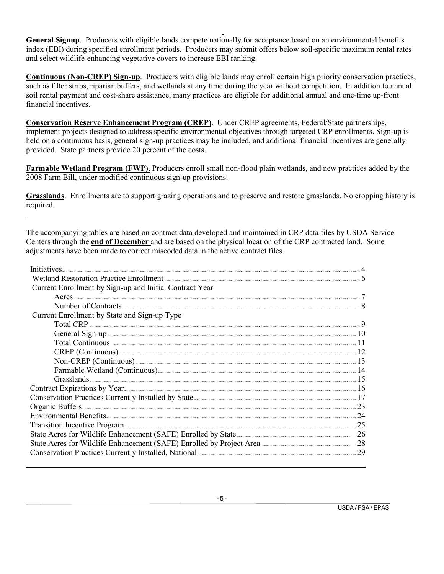**General Signup**. Producers with eligible lands compete nationally for acceptance based on an environmental benefits index (EBI) during specified enrollment periods. Producers may submit offers below soil-specific maximum rental rates and select wildlife-enhancing vegetative covers to increase EBI ranking.

**Continuous (Non-CREP) Sign-up**. Producers with eligible lands may enroll certain high priority conservation practices, such as filter strips, riparian buffers, and wetlands at any time during the year without competition. In addition to annual soil rental payment and cost-share assistance, many practices are eligible for additional annual and one-time up-front financial incentives.

**Conservation Reserve Enhancement Program (CREP)**. Under CREP agreements, Federal/State partnerships, implement projects designed to address specific environmental objectives through targeted CRP enrollments. Sign-up is held on a continuous basis, general sign-up practices may be included, and additional financial incentives are generally provided. State partners provide 20 percent of the costs.

**Farmable Wetland Program (FWP).** Producers enroll small non-flood plain wetlands, and new practices added by the 2008 Farm Bill, under modified continuous sign-up provisions.

**Grasslands**. Enrollments are to support grazing operations and to preserve and restore grasslands. No cropping history is required.

The accompanying tables are based on contract data developed and maintained in CRP data files by USDA Service Centers through the **end of December** and are based on the physical location of the CRP contracted land. Some adjustments have been made to correct miscoded data in the active contract files.

| Current Enrollment by Sign-up and Initial Contract Year |  |
|---------------------------------------------------------|--|
|                                                         |  |
|                                                         |  |
| Current Enrollment by State and Sign-up Type            |  |
|                                                         |  |
|                                                         |  |
|                                                         |  |
|                                                         |  |
|                                                         |  |
|                                                         |  |
|                                                         |  |
|                                                         |  |
|                                                         |  |
|                                                         |  |
|                                                         |  |
|                                                         |  |
|                                                         |  |
|                                                         |  |
|                                                         |  |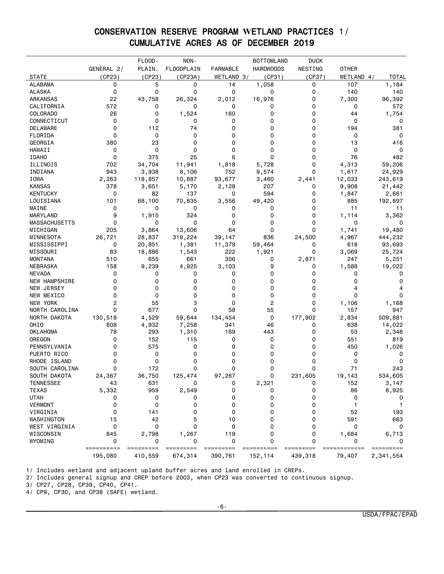## CONSERVATION RESERVE PROGRAM **W**ETLAND PRACTICES 1/ CUMULATIVE ACRES AS OF DECEMBER 2019

|                      |            | FLOOD-    | NON-              |                 | <b>BOTTOMLAND</b> | <b>DUCK</b> |              |              |
|----------------------|------------|-----------|-------------------|-----------------|-------------------|-------------|--------------|--------------|
|                      | GENERAL 2/ | PLAIN.    | <b>FLOODPLAIN</b> | <b>FARMABLE</b> | <b>HARDWOODS</b>  | NESTING     | <b>OTHER</b> |              |
| <b>STATE</b>         | (CP23)     | (CP23)    | (CP23A)           | WETLAND 3/      | (CP31)            | (CP37)      | WETLAND 4/   | <b>TOTAL</b> |
| <b>ALABAMA</b>       | 0          | 5         | 0                 | 14              | 1,058             | 0           | 107          | 1,184        |
| <b>ALASKA</b>        | 0          | 0         | 0                 | 0               | 0                 | 0           | 140          | 140          |
| ARKANSAS             | 22         | 43,758    | 26,324            | 2,012           | 16,976            | 0           | 7,300        | 96,392       |
| CALIFORNIA           | 572        | 0         | 0                 | 0               | 0                 | 0           | 0            | 572          |
| <b>COLORADO</b>      | 26         | 0         | 1,524             | 160             | 0                 | 0           | 44           | 1,754        |
| CONNECTICUT          | 0          | 0         | 0                 | 0               | 0                 | 0           | 0            | 0            |
| DELAWARE             | 0          | 112       | 74                | 0               | 0                 | 0           | 194          | 381          |
| FLORIDA              | 0          | 0         | 0                 | 0               | 0                 | 0           | 0            | 0            |
| GEORGIA              | 380        | 23        | 0                 | 0               | 0                 | 0           | 13           | 416          |
| HAWAII               | 0          | 0         | 0                 | 0               | 0                 | 0           | 0            | 0            |
| <b>IDAHO</b>         | 0          | 375       | 25                | 6               | 0                 | 0           | 76           | 482          |
| ILLINOIS             | 702        | 34,704    | 11,941            | 1,818           | 5,728             | 0           | 4,313        | 59,206       |
| INDIANA              | 943        | 3,938     | 8,106             | 752             | 9,574             | 0           | 1,617        | 24,929       |
| IOWA                 | 2,263      | 118,857   | 10,887            | 93,677          | 3,460             | 2,441       | 12,033       | 243,619      |
| <b>KANSAS</b>        | 378        | 3,651     | 5,170             | 2,128           | 207               | 0           | 9,908        | 21,442       |
| <b>KENTUCKY</b>      | 0          | 82        | 137               | 0               | 594               | 0           | 1,847        | 2,661        |
| LOUISIANA            | 101        | 68,100    | 70,835            | 3,556           | 49,420            | 0           | 885          | 192,897      |
| MAINE                | 0          | 0         | 0                 | 0               | 0                 | 0           | 11           | 11           |
| MARYLAND             | 9          | 1,915     | 324               | 0               | 0                 | 0           | 1,114        |              |
|                      | 0          | 0         | 0                 | 0               | 0                 | 0           | 0            | 3,362        |
| <b>MASSACHUSETTS</b> | 205        |           |                   | 64              | 0                 | 0           |              | 0            |
| MICHIGAN             |            | 3,864     | 13,606            |                 |                   |             | 1,741        | 19,480       |
| MINNESOTA            | 26,721     | 28,837    | 319,224           | 39,147          | 836               | 24,500      | 4,967        | 444,232      |
| MISSISSIPPI          | 0          | 20,851    | 1,381             | 11,379          | 59,464            | 0           | 618          | 93,693       |
| MISSOURI             | 83         | 18,886    | 1,543             | 222             | 1,921             | 0           | 3,069        | 25,724       |
| <b>MONTANA</b>       | 510        | 655       | 661               | 306             | 0                 | 2,871       | 247          | 5,251        |
| <b>NEBRASKA</b>      | 158        | 9,239     | 4,925             | 3,103           | 9                 | 0           | 1,588        | 19,022       |
| <b>NEVADA</b>        | 0          | 0         | 0                 | 0               | 0                 | 0           | 0            | 0            |
| <b>NEW HAMPSHIRE</b> | 0          | 0         | 0                 | 0               | 0                 | 0           | 0            | 0            |
| NEW JERSEY           | 0          | 0         | 0                 | 0               | 0                 | 0           | 4            |              |
| NEW MEXICO           | 0          | 0         | 0                 | 0               | 0                 | 0           | 0            | 0            |
| <b>NEW YORK</b>      | 2          | 55        | 3                 | 0               | 2                 | 0           | 1,106        | 1,168        |
| NORTH CAROLINA       | 0          | 677       | 0                 | 58              | 55                | 0           | 157          | 947          |
| NORTH DAKOTA         | 130,518    | 4,529     | 59,644            | 134,454         | 0                 | 177,902     | 2,834        | 509,881      |
| OHIO                 | 808        | 4,932     | 7,258             | 341             | 46                | 0           | 638          | 14,022       |
| <b>OKLAHOMA</b>      | 78         | 293       | 1,310             | 169             | 443               | 0           | 53           | 2,346        |
| OREGON               | 0          | 152       | 115               | 0               | 0                 | 0           | 551          | 819          |
| PENNSYLVANIA         | 0          | 575       | 0                 | 0               | 0                 | 0           | 450          | 1,026        |
| PUERTO RICO          | 0          | 0         | 0                 | 0               | 0                 | 0           | 0            | 0            |
| RHODE ISLAND         | 0          | 0         | 0                 | 0               | 0                 | 0           | 0            | 0            |
| SOUTH CAROLINA       | 0          | 172       | 0                 | 0               | 0                 | 0           | 71           | 243          |
| SOUTH DAKOTA         | 24,367     | 36,750    | 125,474           | 97,267          | 0                 | 231,605     | 19,143       | 534,605      |
| <b>TENNESSEE</b>     | 43         | 631       | 0                 | 0               | 2,321             | 0           | 152          | 3,147        |
| <b>TEXAS</b>         | 5,332      | 959       | 2,549             | 0               | 0                 | 0           | 86           | 8,925        |
| <b>UTAH</b>          | 0          | 0         | 0                 | 0               | 0                 | 0           | 0            | 0            |
| <b>VERMONT</b>       | 0          | 0         | 0                 | 0               | 0                 | 0           |              |              |
| VIRGINIA             | 0          | 141       | 0                 | 0               | 0                 | 0           | 52           | 193          |
| WASHINGTON           | 15         | 42        | 5                 | 10              | 0                 | 0           | 591          | 663          |
| WEST VIRGINIA        | 0          | 0         | 0                 | 0               | 0                 | 0           | 0            |              |
| WISCONSIN            | 845        | 2,798     | 1,267             | 119             | 0                 | 0           | 1,684        | 6,713        |
| WYOMING              | 0          | 0         | 0                 | 0               | 0                 | $\Omega$    | 0            | 0            |
|                      | ========== | ========= | $=$ ========      | =========       | ==========        |             | ========     | =========    |
|                      | 195,080    | 410,559   | 674,314           | 390,761         | 152,114           | 439,318     | 79,407       | 2,341,554    |

1/ Includes wetland and adjacent upland buffer acres and land enrolled in CREPs.

2/ Includes general signup and CREP before 2003, when CP23 was converted to continuous signup.

3/ CP27, CP28, CP39, CP40, CP41.

4/ CP9, CP30, and CP38 (SAFE) wetland.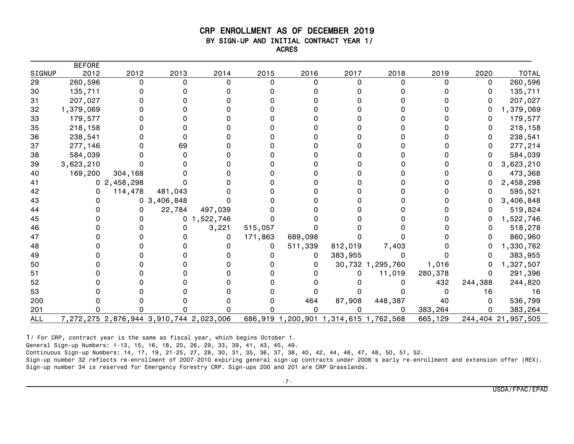#### CRP ENROLLMENT AS OF DECEMBER 2019 BY SIGN-UP AND INITIAL CONTRACT YEAR 1/ ACRES

|               | <b>BEFORE</b> |            |                |                                         |          |         |                                       |                  |         |         |                    |
|---------------|---------------|------------|----------------|-----------------------------------------|----------|---------|---------------------------------------|------------------|---------|---------|--------------------|
| <b>SIGNUP</b> | 2012          | 2012       | 2013           | 2014                                    | 2015     | 2016    | 2017                                  | 2018             | 2019    | 2020    | <b>TOTAL</b>       |
| 29            | 260,596       | $\Omega$   | $\Omega$       | 0                                       | $\Omega$ | 0       | 0                                     | 0                | 0       | 0       | 260,596            |
| 30            | 135,711       |            |                |                                         |          |         |                                       |                  |         | 0       | 135,711            |
| 31            | 207,027       |            |                |                                         |          |         |                                       |                  |         |         | 207,027            |
| 32            | 1,379,069     |            |                |                                         |          |         |                                       |                  |         |         | 1,379,069          |
| 33            | 179,577       |            |                |                                         |          |         |                                       |                  |         |         | 179,577            |
| 35            | 218,158       |            |                |                                         |          |         |                                       |                  |         | 0       | 218,158            |
| 36            | 238,541       |            |                |                                         |          |         |                                       |                  |         | 0       | 238,541            |
| 37            | 277,146       |            | 69             |                                         |          |         |                                       |                  |         | 0       | 277,214            |
| 38            | 584,039       |            |                |                                         |          |         |                                       |                  |         |         | 584,039            |
| 39            | 3,623,210     |            |                |                                         |          |         |                                       |                  |         | 0       | 3,623,210          |
| 40            | 169,200       | 304,168    |                |                                         |          |         |                                       |                  |         |         | 473,368            |
| 41            |               | 02,458,298 |                |                                         |          |         |                                       |                  |         | 0       | 2,458,298          |
| 42            |               | 114,478    | 481,043        |                                         |          |         |                                       |                  |         |         | 595,521            |
| 43            |               |            | 0, 3, 406, 848 |                                         |          |         |                                       |                  |         |         | 3,406,848          |
| 44            |               |            | 22,784         | 497,039                                 |          |         |                                       |                  |         | 0       | 519,824            |
| 45            |               |            |                | 0, 1, 522, 746                          |          |         |                                       |                  |         | 0       | 1,522,746          |
| 46            |               |            |                | 3,221                                   | 515,057  |         |                                       |                  |         | 0       | 518,278            |
| 47            |               |            |                | 0                                       | 171,863  | 689,098 |                                       |                  |         |         | 860,960            |
| 48            |               |            |                |                                         | 0        | 511,339 | 812,019                               | 7,403            |         |         | 1,330,762          |
| 49            |               |            |                |                                         |          | 0       | 383,955                               | 0                |         |         | 383,955            |
| 50            |               |            |                |                                         |          |         |                                       | 30,732 1,295,760 | 1,016   | 0       | 1,327,507          |
| 51            |               |            |                |                                         |          |         | ი                                     | 11,019           | 280,378 | 0       | 291,396            |
| 52            |               |            |                |                                         |          |         |                                       |                  | 432     | 244,388 | 244,820            |
| 53            |               |            |                |                                         |          |         |                                       |                  |         | 16      | 16                 |
| 200           |               |            |                |                                         |          | 464     | 87,908                                | 448,387          | 40      | 0       | 536,799            |
| 201           |               |            |                |                                         |          |         |                                       |                  | 383,264 |         | 383,264            |
| <b>ALL</b>    |               |            |                | 7,272,275 2,876,944 3,910,744 2,023,006 |          |         | 686,919 1,200,901 1,314,615 1,762,568 |                  | 665,129 |         | 244,404 21,957,505 |

1/ For CRP, contract year is the same as fiscal year, which begins October 1.

General Sign-up Numbers: 1-13, 15, 16, 18, 20, 26, 29, 33, 39, 41, 43, 45, 49.

Continuous Sign-up Numbers: 14, 17, 19, 21-25, 27, 28, 30, 31, 35, 36, 37, 38, 40, 42, 44, 46, 47, 48, 50, 51, 52.

Sign-up number 32 reflects re-enrollment of 2007-2010 expiring general sign-up contracts under 2006's early re-enrollment and extension offer (REX). Sign-up number 34 is reserved for Emergency Forestry CRP. Sign-ups 200 and 201 are CRP Grasslands.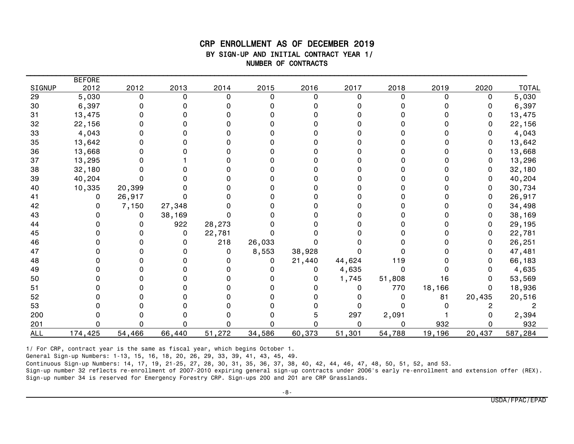#### CRP ENROLLMENT AS OF DECEMBER 2019 BY SIGN-UP AND INITIAL CONTRACT YEAR 1/ NUMBER OF CONTRACTS

\_\_\_\_\_\_\_\_\_\_\_\_\_\_\_\_\_\_\_\_\_\_\_\_\_\_\_\_\_\_\_\_\_\_\_\_\_\_\_\_\_\_\_\_\_\_\_\_\_\_\_\_\_\_\_\_\_\_\_\_\_\_\_\_\_\_\_\_\_\_\_\_\_\_\_\_\_\_\_\_\_\_\_\_\_\_\_\_\_\_\_\_\_\_\_\_\_\_\_\_\_\_\_\_\_\_\_\_\_\_\_\_\_\_\_\_\_

|            | <b>BEFORE</b> |          |          |          |          |          |          |        |        |          |              |
|------------|---------------|----------|----------|----------|----------|----------|----------|--------|--------|----------|--------------|
| SIGNUP     | 2012          | 2012     | 2013     | 2014     | 2015     | 2016     | 2017     | 2018   | 2019   | 2020     | <b>TOTAL</b> |
| 29         | 5,030         | $\Omega$ | $\Omega$ | $\Omega$ | $\Omega$ | $\Omega$ | O        | 0      | 0      | 0        | 5,030        |
| 30         | 6,397         |          |          |          |          |          |          |        |        | 0        | 6,397        |
| 31         | 13,475        |          |          |          |          |          |          |        |        | 0        | 13,475       |
| 32         | 22,156        |          |          | O        |          |          |          |        |        | 0        | 22,156       |
| 33         | 4,043         |          |          |          |          |          |          |        |        |          | 4,043        |
| 35         | 13,642        |          |          |          |          |          |          |        |        | 0        | 13,642       |
| 36         | 13,668        |          |          |          |          |          |          |        |        | 0        | 13,668       |
| 37         | 13,295        |          |          |          |          |          |          |        |        | 0        | 13,296       |
| 38         | 32,180        |          |          |          |          |          |          |        |        | 0        | 32,180       |
| 39         | 40,204        |          |          |          |          |          |          |        |        | 0        | 40,204       |
| 40         | 10,335        | 20,399   |          |          |          |          |          |        |        | 0        | 30,734       |
| 41         | 0             | 26,917   |          |          |          |          |          |        |        | 0        | 26,917       |
| 42         |               | 7,150    | 27,348   |          |          |          |          |        |        |          | 34,498       |
| 43         |               |          | 38,169   | o        |          |          |          |        |        | 0        | 38,169       |
| 44         |               |          | 922      | 28,273   |          |          |          |        |        | 0        | 29,195       |
| 45         |               |          | 0        | 22,781   |          |          |          |        |        | 0        | 22,781       |
| 46         |               |          | 0        | 218      | 26,033   |          |          |        |        | O        | 26,251       |
| 47         |               |          | O        | 0        | 8,553    | 38,928   |          |        |        | 0        | 47,481       |
| 48         |               |          |          | O        | 0        | 21,440   | 44,624   | 119    |        | $\Omega$ | 66,183       |
| 49         |               |          |          | O        |          | 0        | 4,635    | 0      |        | 0        | 4,635        |
| 50         |               |          |          |          |          |          | 1,745    | 51,808 | 16     | 0        | 53,569       |
| 51         |               |          |          |          |          |          | 0        | 770    | 18,166 | 0        | 18,936       |
| 52         |               |          |          |          |          |          |          |        | 81     | 20,435   | 20,516       |
| 53         |               |          |          |          |          |          |          |        |        | 2        | 2            |
| 200        |               |          |          |          |          |          | 297      | 2,091  |        | 0        | 2,394        |
| 201        |               |          |          | O        |          |          | $\Omega$ | 0      | 932    |          | 932          |
| <b>ALL</b> | 174,425       | 54,466   | 66,440   | 51,272   | 34,586   | 60,373   | 51,301   | 54,788 | 19,196 | 20,437   | 587,284      |

1/ For CRP, contract year is the same as fiscal year, which begins October 1.

General Sign-up Numbers: 1-13, 15, 16, 18, 20, 26, 29, 33, 39, 41, 43, 45, 49.

Continuous Sign-up Numbers: 14, 17, 19, 21-25, 27, 28, 30, 31, 35, 36, 37, 38, 40, 42, 44, 46, 47, 48, 50, 51, 52, and 53.

Sign-up number 32 reflects re-enrollment of 2007-2010 expiring general sign-up contracts under 2006's early re-enrollment and extension offer (REX). Sign-up number 34 is reserved for Emergency Forestry CRP. Sign-ups 200 and 201 are CRP Grasslands.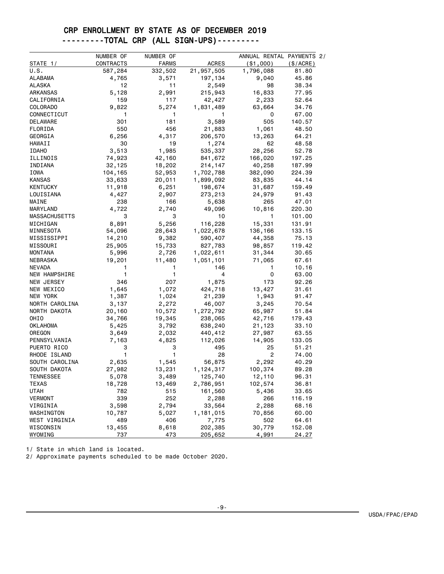#### CRP ENROLLMENT BY STATE AS OF DECEMBER 2019 ---------TOTAL CRP (ALL SIGN-UPS)---------

|                      | NUMBER OF | NUMBER OF    |              | ANNUAL RENTAL PAYMENTS 2/ |           |
|----------------------|-----------|--------------|--------------|---------------------------|-----------|
| STATE 1/             | CONTRACTS | <b>FARMS</b> | <b>ACRES</b> | ( \$1,000)                | (\$/ACRE) |
| U.S.                 | 587,284   | 332,502      | 21,957,505   | 1,796,088                 | 81.80     |
| ALABAMA              | 4,765     | 3,571        | 197,134      | 9,040                     | 45.86     |
| <b>ALASKA</b>        | 12        | 11           | 2,549        | 98                        | 38.34     |
| <b>ARKANSAS</b>      | 5,128     | 2,991        | 215,943      | 16,833                    | 77.95     |
| CALIFORNIA           | 159       | 117          | 42,427       | 2,233                     | 52.64     |
| <b>COLORADO</b>      | 9,822     | 5,274        | 1,831,489    | 63,664                    | 34.76     |
| CONNECTICUT          | 1         | 1            | 1            | 0                         | 67.00     |
| DELAWARE             | 301       | 181          | 3,589        | 505                       | 140.57    |
| FLORIDA              | 550       | 456          | 21,883       | 1,061                     | 48.50     |
| GEORGIA              | 6,256     | 4,317        | 206,570      | 13,263                    | 64.21     |
| HAWAII               | 30        | 19           | 1,274        | 62                        | 48.58     |
| <b>IDAHO</b>         | 3,513     | 1,985        | 535,337      | 28,256                    | 52.78     |
| ILLINOIS             | 74,923    | 42,160       | 841,672      | 166,020                   | 197.25    |
| INDIANA              | 32,125    | 18,202       | 214,147      | 40,258                    | 187.99    |
| IOWA                 | 104,165   | 52,953       | 1,702,788    | 382,090                   | 224.39    |
| <b>KANSAS</b>        | 33,633    | 20,011       | 1,899,092    | 83,835                    | 44.14     |
| KENTUCKY             | 11,918    | 6,251        | 198,674      | 31,687                    | 159.49    |
| LOUISIANA            | 4,427     | 2,907        | 273,213      | 24,979                    | 91.43     |
| MAINE                | 238       | 166          | 5,638        | 265                       | 47.01     |
| MARYLAND             | 4,722     | 2,740        | 49,096       | 10,816                    | 220.30    |
| <b>MASSACHUSETTS</b> | 3         | 3            | 10           | 1                         | 101.00    |
| MICHIGAN             | 8,891     | 5,256        | 116,228      | 15,331                    | 131.91    |
| MINNESOTA            | 54,096    | 28,643       | 1,022,678    | 136,166                   | 133.15    |
| MISSISSIPPI          | 14,210    | 9,382        | 590,407      | 44,358                    | 75.13     |
| MISSOURI             | 25,905    | 15,733       | 827,783      | 98,857                    | 119.42    |
| <b>MONTANA</b>       | 5,996     | 2,726        | 1,022,611    | 31,344                    | 30.65     |
| NEBRASKA             | 19,201    | 11,480       | 1,051,101    | 71,065                    | 67.61     |
| <b>NEVADA</b>        | 1         | 1            | 146          | 1                         | 10.16     |
| NEW HAMPSHIRE        | 1         | 1            | 4            | 0                         | 63.00     |
| NEW JERSEY           | 346       | 207          | 1,875        | 173                       | 92.26     |
| NEW MEXICO           | 1,645     | 1,072        | 424,718      | 13,427                    | 31.61     |
| NEW YORK             | 1,387     | 1,024        | 21,239       | 1,943                     | 91.47     |
| NORTH CAROLINA       | 3,137     | 2,272        | 46,007       | 3,245                     | 70.54     |
| NORTH DAKOTA         | 20,160    | 10,572       | 1,272,792    | 65,987                    | 51.84     |
| OHIO                 | 34,766    | 19,345       | 238,065      | 42,716                    | 179.43    |
| OKLAHOMA             | 5,425     | 3,792        | 638,240      | 21,123                    | 33.10     |
| OREGON               | 3,649     | 2,032        | 440,412      | 27,987                    | 63.55     |
| PENNSYLVANIA         | 7,163     | 4,825        | 112,026      | 14,905                    | 133.05    |
| PUERTO RICO          | 3         | 3            | 495          | 25                        | 51.21     |
| RHODE ISLAND         | 1         | 1            | 28           | $\overline{c}$            | 74.00     |
| SOUTH CAROLINA       | 2,635     | 1,545        | 56,875       | 2,292                     | 40.29     |
| SOUTH DAKOTA         | 27,982    | 13,231       | 1,124,317    | 100,374                   | 89.28     |
| <b>TENNESSEE</b>     | 5,078     | 3,489        | 125,740      | 12,110                    | 96.31     |
| <b>TEXAS</b>         | 18,728    | 13,469       | 2,786,951    | 102,574                   | 36.81     |
| <b>UTAH</b>          | 782       | 515          | 161,560      | 5,436                     | 33.65     |
| <b>VERMONT</b>       | 339       | 252          | 2,288        | 266                       | 116.19    |
| VIRGINIA             | 3,598     | 2,794        | 33,564       | 2,288                     | 68.16     |
| WASHINGTON           | 10,787    | 5,027        | 1,181,015    | 70,856                    | 60.00     |
| WEST VIRGINIA        | 489       | 406          | 7,775        | 502                       | 64.61     |
| WISCONSIN            | 13,455    | 8,618        | 202,385      | 30,779                    | 152.08    |
| WYOMING              | 737       | 473          | 205,652      | 4,991                     | 24.27     |

1/ State in which land is located.

2/ Approximate payments scheduled to be made October 2020.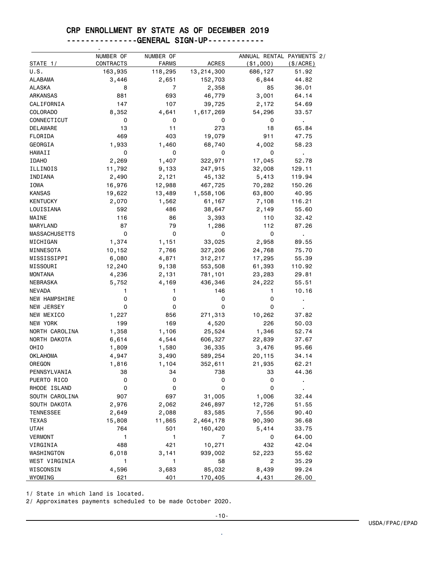### CRP ENROLLMENT BY STATE AS OF DECEMBER 2019

#### ---------------GENERAL SIGN-UP------------

| STATE 1/             | NUMBER OF<br>CONTRACTS | NUMBER OF<br><b>FARMS</b> | <b>ACRES</b>      | ANNUAL RENTAL PAYMENTS 2/<br>( \$1,000) | (\$/ACRE)      |
|----------------------|------------------------|---------------------------|-------------------|-----------------------------------------|----------------|
| U.S.                 | 163,935                | 118,295                   | 13,214,300        | 686,127                                 | 51.92          |
| ALABAMA              | 3,446                  | 2,651                     | 152,703           | 6,844                                   | 44.82          |
| ALASKA               | 8                      | $\overline{7}$            | 2,358             | 85                                      | 36.01          |
| ARKANSAS             | 881                    | 693                       | 46,779            | 3,001                                   | 64.14          |
| CALIFORNIA           | 147                    | 107                       | 39,725            | 2,172                                   | 54.69          |
| COLORADO             | 8,352                  | 4,641                     | 1,617,269         | 54,296                                  | 33.57          |
| CONNECTICUT          | 0                      | 0                         | 0                 | 0                                       | $\blacksquare$ |
| DELAWARE             | 13                     | 11                        | 273               | 18                                      | 65.84          |
| FLORIDA              | 469                    | 403                       | 19,079            | 911                                     | 47.75          |
| GEORGIA              | 1,933                  | 1,460                     | 68,740            | 4,002                                   | 58.23          |
| HAWAII               | 0                      | 0                         | 0                 | 0                                       | $\mathbf{r}$   |
| <b>IDAHO</b>         | 2,269                  | 1,407                     | 322,971           | 17,045                                  | 52.78          |
| ILLINOIS             | 11,792                 | 9,133                     | 247,915           | 32,008                                  | 129.11         |
| INDIANA              | 2,490                  | 2,121                     | 45,132            | 5,413                                   | 119.94         |
| IOWA                 | 16,976                 | 12,988                    | 467,725           | 70,282                                  | 150.26         |
| <b>KANSAS</b>        | 19,622                 | 13,489                    | 1,558,106         | 63,800                                  | 40.95          |
| <b>KENTUCKY</b>      | 2,070                  | 1,562                     | 61,167            | 7,108                                   | 116.21         |
| LOUISIANA            | 592                    | 486                       | 38,647            | 2,149                                   | 55.60          |
| MAINE                | 116                    | 86                        | 3,393             | 110                                     | 32.42          |
| MARYLAND             | 87                     | 79                        | 1,286             | 112                                     | 87.26          |
| <b>MASSACHUSETTS</b> | 0                      | 0                         | 0                 | 0                                       | ä,             |
| MICHIGAN             | 1,374                  | 1,151                     | 33,025            | 2,958                                   | 89.55          |
| MINNESOTA            | 10,152                 | 7,766                     | 327,206           | 24,768                                  | 75.70          |
| MISSISSIPPI          | 6,080                  | 4,871                     | 312,217           | 17,295                                  | 55.39          |
| MISSOURI             | 12,240                 | 9,138                     | 553,508           | 61,393                                  | 110.92         |
| <b>MONTANA</b>       | 4,236                  | 2,131                     | 781,101           | 23,283                                  | 29.81          |
| NEBRASKA             | 5,752                  | 4,169                     | 436,346           | 24,222                                  | 55.51          |
| <b>NEVADA</b>        | 1                      | 1                         | 146               | 1                                       | 10.16          |
| <b>NEW HAMPSHIRE</b> | 0                      | 0                         | 0                 | 0                                       |                |
| NEW JERSEY           | 0                      | 0                         | 0                 | 0                                       |                |
| NEW MEXICO           | 1,227                  | 856                       | 271,313           | 10,262                                  | 37.82          |
| NEW YORK             | 199                    | 169                       | 4,520             | 226                                     | 50.03          |
| NORTH CAROLINA       | 1,358                  | 1,106                     | 25,524            | 1,346                                   | 52.74          |
| NORTH DAKOTA         | 6,614                  | 4,544                     | 606,327           | 22,839                                  | 37.67          |
| OHIO                 | 1,809                  | 1,580                     | 36,335            | 3,476                                   | 95.66          |
| <b>OKLAHOMA</b>      | 4,947                  | 3,490                     | 589,254           | 20,115                                  | 34.14          |
| OREGON               | 1,816                  | 1,104                     | 352,611           | 21,935                                  | 62.21          |
| PENNSYLVANIA         | 38                     | 34                        | 738               | 33                                      | 44.36          |
| PUERTO RICO          | 0                      | 0                         | 0                 | 0                                       |                |
| RHODE ISLAND         | 0                      | 0                         | 0                 | 0                                       |                |
| SOUTH CAROLINA       | 907                    | 697                       | 31,005            | 1,006                                   | 32.44          |
| SOUTH DAKOTA         | 2,976                  | 2,062                     | 246,897           | 12,726                                  | 51.55          |
| <b>TENNESSEE</b>     |                        |                           | 83,585            | 7,556                                   | 90.40          |
| <b>TEXAS</b>         | 2,649<br>15,808        | 2,088<br>11,865           | 2,464,178         | 90,390                                  | 36.68          |
| <b>UTAH</b>          | 764                    | 501                       | 160,420           | 5,414                                   | 33.75          |
| <b>VERMONT</b>       | 1                      | 1                         | 7                 | 0                                       | 64.00          |
| VIRGINIA             | 488                    | 421                       | 10,271            | 432                                     | 42.04          |
| WASHINGTON           | 6,018                  | 3,141                     | 939,002           | 52,223                                  | 55.62          |
| WEST VIRGINIA        | 1                      | 1                         | 58                | 2                                       | 35.29          |
| WISCONSIN            | 4,596                  | 3,683                     |                   | 8,439                                   | 99.24          |
| WYOMING              | 621                    | 401                       | 85,032<br>170,405 | 4,431                                   | 26.00          |

1/ State in which land is located.

2/ Approximates payments scheduled to be made October 2020.

.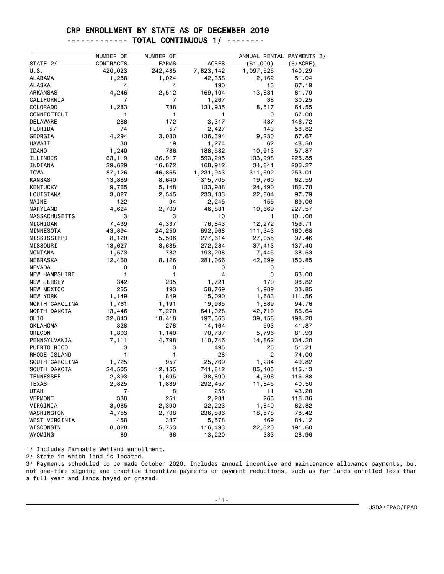#### CRP ENROLLMENT BY STATE AS OF DECEMBER 2019 ------------- TOTAL CONTINUOUS 1/ --------

|                      | NUMBER OF | NUMBER OF    |              | ANNUAL RENTAL PAYMENTS 3/ |             |
|----------------------|-----------|--------------|--------------|---------------------------|-------------|
| STATE 2/             | CONTRACTS | <b>FARMS</b> | <b>ACRES</b> | ( \$1,000)                | $(\$/ACRE)$ |
| U.S.                 | 420,023   | 242,485      | 7,823,142    | 1,097,525                 | 140.29      |
| ALABAMA              | 1,288     | 1,024        | 42,358       | 2,162                     | 51.04       |
| <b>ALASKA</b>        | 4         | 4            | 190          | 13                        | 67.19       |
| <b>ARKANSAS</b>      | 4,246     | 2,512        | 169,104      | 13,831                    | 81.79       |
| CALIFORNIA           | 7         | 7            | 1,267        | 38                        | 30.25       |
| <b>COLORADO</b>      | 1,283     | 788          | 131,935      | 8,517                     | 64.55       |
| CONNECTICUT          | 1         | 1            | 1            | 0                         | 67.00       |
| DELAWARE             | 288       | 172          | 3,317        | 487                       | 146.72      |
| FLORIDA              | 74        | 57           | 2,427        | 143                       | 58.82       |
| GEORGIA              | 4,294     | 3,030        | 136,394      | 9,230                     | 67.67       |
| HAWAII               | 30        | 19           | 1,274        | 62                        | 48.58       |
| <b>IDAHO</b>         | 1,240     | 786          | 188,582      | 10,913                    | 57.87       |
| ILLINOIS             | 63,119    | 36,917       | 593,295      | 133,998                   | 225.85      |
| INDIANA              | 29,629    | 16,872       | 168,912      | 34,841                    | 206.27      |
| IOWA                 | 87,126    | 46,865       | 1,231,943    | 311,692                   | 253.01      |
| <b>KANSAS</b>        | 13,889    | 8,640        | 315,705      | 19,760                    | 62.59       |
| KENTUCKY             | 9,765     | 5,148        | 133,988      | 24,490                    | 182.78      |
| LOUISIANA            | 3,827     | 2,545        | 233,183      | 22,804                    | 97.79       |
| MAINE                | 122       | 94           | 2,245        | 155                       | 69.06       |
| MARYLAND             | 4,624     | 2,709        | 46,881       | 10,669                    | 227.57      |
| <b>MASSACHUSETTS</b> | 3         | 3            | 10           | 1                         | 101.00      |
| MICHIGAN             | 7,439     | 4,337        | 76,843       | 12,272                    | 159.71      |
| MINNESOTA            | 43,894    | 24,250       | 692,968      | 111,343                   | 160.68      |
| MISSISSIPPI          | 8,120     | 5,506        | 277,614      | 27,055                    | 97.46       |
| MISSOURI             | 13,627    | 8,685        | 272,284      | 37,413                    | 137.40      |
| <b>MONTANA</b>       | 1,573     | 782          | 193,208      | 7,445                     | 38.53       |
| NEBRASKA             | 12,460    | 8,126        | 281,066      | 42,399                    | 150.85      |
| <b>NEVADA</b>        | 0         | 0            | 0            | 0                         | ٠           |
| NEW HAMPSHIRE        | 1         | 1            | 4            | 0                         | 63.00       |
| NEW JERSEY           | 342       | 205          | 1,721        | 170                       | 98.82       |
| NEW MEXICO           | 255       | 193          | 58,769       | 1,989                     | 33.85       |
| NEW YORK             | 1,149     | 849          | 15,090       | 1,683                     | 111.56      |
| NORTH CAROLINA       | 1,761     | 1,191        | 19,935       | 1,889                     | 94.76       |
| NORTH DAKOTA         | 13,446    | 7,270        | 641,028      | 42,719                    | 66.64       |
| OHIO                 | 32,843    | 18,418       | 197,563      | 39,158                    | 198.20      |
| OKLAHOMA             | 328       | 278          | 14,164       | 593                       | 41.87       |
| OREGON               | 1,803     | 1,140        | 70,737       | 5,796                     | 81.93       |
| PENNSYLVANIA         | 7,111     | 4,798        | 110,746      | 14,862                    | 134.20      |
| PUERTO RICO          | 3         | 3            | 495          | 25                        | 51.21       |
| RHODE ISLAND         | 1         | 1            | 28           | $\overline{c}$            | 74.00       |
| SOUTH CAROLINA       | 1,725     | 957          | 25,769       | 1,284                     | 49.82       |
| SOUTH DAKOTA         | 24,505    | 12,155       | 741,812      | 85,405                    | 115.13      |
| <b>TENNESSEE</b>     | 2,393     | 1,695        | 38,890       | 4,506                     | 115.88      |
| TEXAS                | 2,825     | 1,889        | 292,457      | 11,845                    | 40.50       |
| <b>UTAH</b>          | 7         | 8            | 258          | 11                        | 43.20       |
| VERMONT              | 338       | 251          | 2,281        | 265                       | 116.36      |
| VIRGINIA             | 3,085     | 2,390        | 22,223       | 1,840                     | 82.82       |
| WASHINGTON           | 4,755     | 2,708        | 236,886      | 18,578                    | 78.42       |
| WEST VIRGINIA        | 458       | 387          | 5,578        | 469                       | 84.12       |
| WISCONSIN            | 8,828     | 5,753        | 116,493      | 22,320                    | 191.60      |
| WYOMING              | 89        | 66           | 13,220       | 383                       | 28.96       |

1/ Includes Farmable Wetland enrollment.

2/ State in which land is located.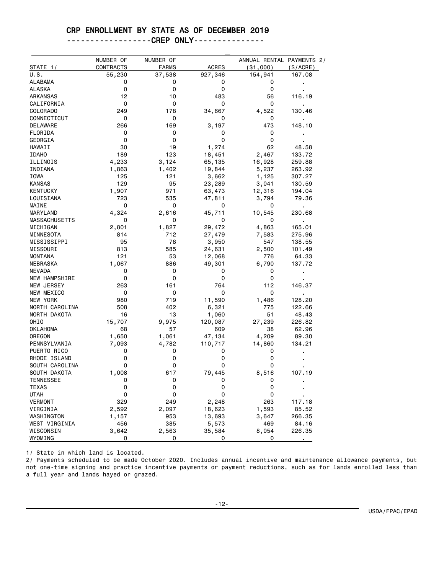#### CRP ENROLLMENT BY STATE AS OF DECEMBER 2019

#### ------------------CREP ONLY---------------

|                          | NUMBER OF   | NUMBER OF    |              |              | ANNUAL RENTAL PAYMENTS 2/ |
|--------------------------|-------------|--------------|--------------|--------------|---------------------------|
| STATE 1/                 | CONTRACTS   | <b>FARMS</b> | <b>ACRES</b> | ( \$1,000)   | $(\$/ACRE)$               |
| U.S.                     | 55,230<br>0 | 37,538<br>0  | 927,346      | 154,941<br>0 | 167.08                    |
| ALABAMA<br><b>ALASKA</b> | 0           | 0            | 0<br>0       | 0            |                           |
|                          | 12          |              |              |              |                           |
| ARKANSAS                 |             | 10           | 483          | 56           | 116.19                    |
| CALIFORNIA               | 0           | 0            | 0            | 0            | $\blacksquare$            |
| COLORADO                 | 249         | 178          | 34,667       | 4,522        | 130.46                    |
| CONNECTICUT              | 0           | 0            | 0            | 0            |                           |
| DELAWARE                 | 266         | 169          | 3,197        | 473          | 148.10                    |
| FLORIDA                  | 0           | 0            | 0            | 0            |                           |
| GEORGIA                  | 0           | 0            | 0            | 0            |                           |
| HAWAII                   | 30          | 19           | 1,274        | 62           | 48.58                     |
| <b>IDAHO</b>             | 189         | 123          | 18,451       | 2,467        | 133.72                    |
| ILLINOIS                 | 4,233       | 3,124        | 65,135       | 16,928       | 259.88                    |
| INDIANA                  | 1,863       | 1,402        | 19,844       | 5,237        | 263.92                    |
| IOWA                     | 125         | 121          | 3,662        | 1,125        | 307.27                    |
| KANSAS                   | 129         | 95           | 23,289       | 3,041        | 130.59                    |
| KENTUCKY                 | 1,907       | 971          | 63,473       | 12,316       | 194.04                    |
| LOUISIANA                | 723         | 535          | 47,811       | 3,794        | 79.36                     |
| MAINE                    | 0           | 0            | 0            | 0            |                           |
| MARYLAND                 | 4,324       | 2,616        | 45,711       | 10,545       | 230.68                    |
| <b>MASSACHUSETTS</b>     | 0           | 0            | 0            | 0            | ٠                         |
| MICHIGAN                 | 2,801       | 1,827        | 29,472       | 4,863        | 165.01                    |
| MINNESOTA                | 814         | 712          | 27,479       | 7,583        | 275.96                    |
| MISSISSIPPI              | 95          | 78           | 3,950        | 547          | 138.55                    |
| MISSOURI                 | 813         | 585          | 24,631       | 2,500        | 101.49                    |
| MONTANA                  | 121         | 53           | 12,068       | 776          | 64.33                     |
| NEBRASKA                 | 1,067       | 886          | 49,301       | 6,790        | 137.72                    |
| NEVADA                   | 0           | 0            | 0            | 0            | $\blacksquare$            |
| NEW HAMPSHIRE            | 0           | 0            | 0            | 0            |                           |
| NEW JERSEY               | 263         | 161          | 764          | 112          | 146.37                    |
| NEW MEXICO               | 0           | 0            | 0            | 0            | $\blacksquare$            |
| NEW YORK                 | 980         | 719          | 11,590       | 1,486        | 128.20                    |
| NORTH CAROLINA           | 508         | 402          | 6,321        | 775          | 122.66                    |
| NORTH DAKOTA             | 16          | 13           | 1,060        | 51           | 48.43                     |
| OHIO                     | 15,707      | 9,975        | 120,087      | 27,239       | 226.82                    |
| OKLAHOMA                 | 68          | 57           | 609          | 38           | 62.96                     |
| OREGON                   | 1,650       | 1,061        | 47,134       | 4,209        | 89.30                     |
| PENNSYLVANIA             | 7,093       | 4,782        | 110,717      | 14,860       | 134.21                    |
| PUERTO RICO              | 0           | 0            | 0            | 0            |                           |
| RHODE ISLAND             | 0           | 0            | 0            | 0            |                           |
| SOUTH CAROLINA           | 0           | 0            | 0            | 0            |                           |
| SOUTH DAKOTA             | 1,008       | 617          | 79,445       | 8,516        | 107.19                    |
| TENNESSEE                | 0           | 0            | 0            | 0            |                           |
| TEXAS                    | 0           | 0            | 0            | 0            |                           |
| <b>UTAH</b>              | 0           | 0            | 0            | 0            |                           |
| <b>VERMONT</b>           | 329         | 249          | 2,248        | 263          | 117.18                    |
| VIRGINIA                 | 2,592       | 2,097        | 18,623       | 1,593        | 85.52                     |
| WASHINGTON               | 1,157       | 953          | 13,693       | 3,647        | 266.35                    |
| WEST VIRGINIA            | 456         | 385          | 5,573        | 469          | 84.16                     |
| WISCONSIN                | 3,642       | 2,563        | 35,584       | 8,054        | 226.35                    |
| WYOMING                  | 0           | 0            | 0            | 0            |                           |

1/ State in which land is located.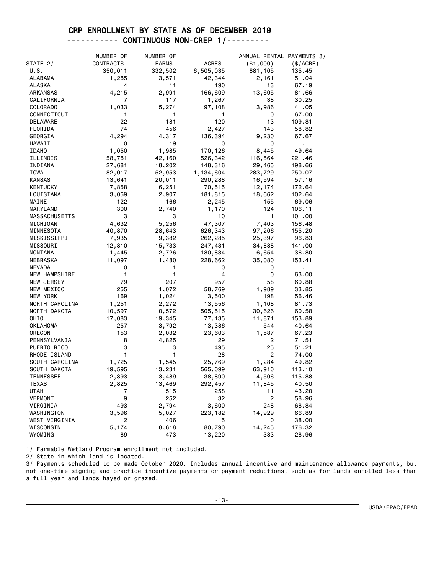#### CRP ENROLLMENT BY STATE AS OF DECEMBER 2019 ----------- CONTINUOUS NON-CREP 1/---------

|                      | NUMBER OF | NUMBER OF    |              | ANNUAL RENTAL PAYMENTS 3/ |           |
|----------------------|-----------|--------------|--------------|---------------------------|-----------|
| STATE 2/             | CONTRACTS | <b>FARMS</b> | <b>ACRES</b> | ( \$1,000)                | (\$/ACRE) |
| U.S.                 | 350,011   | 332,502      | 6,505,035    | 881,105                   | 135.45    |
| <b>ALABAMA</b>       | 1,285     | 3,571        | 42,344       | 2,161                     | 51.04     |
| ALASKA               | 4         | 11           | 190          | 13                        | 67.19     |
| ARKANSAS             | 4,215     | 2,991        | 166,609      | 13,605                    | 81.66     |
| CALIFORNIA           | 7         | 117          | 1,267        | 38                        | 30.25     |
| <b>COLORADO</b>      | 1,033     | 5,274        | 97,108       | 3,986                     | 41.05     |
| CONNECTICUT          | 1         | 1.           | 1            | 0                         | 67.00     |
| DELAWARE             | 22        | 181          | 120          | 13                        | 109.81    |
| FLORIDA              | 74        | 456          | 2,427        | 143                       | 58.82     |
| GEORGIA              | 4,294     | 4,317        | 136,394      | 9,230                     | 67.67     |
| HAWAII               | 0         | 19           | 0            | 0                         |           |
| <b>IDAHO</b>         | 1,050     | 1,985        | 170,126      | 8,445                     | 49.64     |
| ILLINOIS             | 58,781    | 42,160       | 526,342      | 116,564                   | 221.46    |
| INDIANA              | 27,681    | 18,202       | 148,316      | 29,465                    | 198.66    |
| IOWA                 | 82,017    | 52,953       | 1,134,604    | 283,729                   | 250.07    |
| <b>KANSAS</b>        | 13,641    | 20,011       | 290,288      | 16,594                    | 57.16     |
| <b>KENTUCKY</b>      | 7,858     | 6,251        | 70,515       | 12,174                    | 172.64    |
| LOUISIANA            | 3,059     | 2,907        | 181,815      | 18,662                    | 102.64    |
| MAINE                | 122       | 166          | 2,245        | 155                       | 69.06     |
| MARYLAND             | 300       | 2,740        | 1,170        | 124                       | 106.11    |
| <b>MASSACHUSETTS</b> | 3         | 3            | 10           | $\mathbf{1}$              | 101.00    |
| MICHIGAN             | 4,632     | 5,256        | 47,307       | 7,403                     | 156.48    |
| MINNESOTA            | 40,870    | 28,643       | 626,343      | 97,206                    | 155.20    |
| MISSISSIPPI          | 7,935     | 9,382        | 262,285      | 25,397                    | 96.83     |
| MISSOURI             | 12,810    | 15,733       | 247,431      | 34,888                    | 141.00    |
| <b>MONTANA</b>       | 1,445     | 2,726        | 180,834      | 6,654                     | 36.80     |
| NEBRASKA             | 11,097    | 11,480       | 228,662      | 35,080                    | 153.41    |
| <b>NEVADA</b>        | 0         | 1            | 0            | 0                         | ٠         |
| <b>NEW HAMPSHIRE</b> | 1         | 1            | 4            | 0                         | 63.00     |
| NEW JERSEY           | 79        | 207          | 957          | 58                        | 60.88     |
| NEW MEXICO           | 255       | 1,072        | 58,769       | 1,989                     | 33.85     |
| NEW YORK             | 169       | 1,024        | 3,500        | 198                       | 56.46     |
| NORTH CAROLINA       | 1,251     | 2,272        | 13,556       | 1,108                     | 81.73     |
| NORTH DAKOTA         | 10,597    | 10,572       | 505,515      | 30,626                    | 60.58     |
| OHIO                 | 17,083    | 19,345       | 77,135       | 11,871                    | 153.89    |
| OKLAHOMA             | 257       | 3,792        | 13,386       | 544                       | 40.64     |
| OREGON               | 153       | 2,032        | 23,603       | 1,587                     | 67.23     |
| PENNSYLVANIA         | 18        | 4,825        | 29           | 2                         | 71.51     |
| PUERTO RICO          | 3         | 3            | 495          | 25                        | 51.21     |
| RHODE ISLAND         | 1         | 1            | 28           | 2                         | 74.00     |
| SOUTH CAROLINA       | 1,725     | 1,545        | 25,769       | 1,284                     | 49.82     |
| SOUTH DAKOTA         | 19,595    | 13,231       | 565,099      | 63,910                    | 113.10    |
| <b>TENNESSEE</b>     | 2,393     | 3,489        | 38,890       | 4,506                     | 115.88    |
| TEXAS                | 2,825     | 13,469       | 292,457      | 11,845                    | 40.50     |
| <b>UTAH</b>          | 7         | 515          | 258          | 11                        | 43.20     |
| <b>VERMONT</b>       | 9         | 252          | 32           | $\overline{c}$            | 58.96     |
| VIRGINIA             | 493       | 2,794        | 3,600        | 248                       | 68.84     |
| WASHINGTON           | 3,596     | 5,027        | 223,182      | 14,929                    | 66.89     |
| WEST VIRGINIA        | 2         | 406          | 5            | 0                         | 38.00     |
| WISCONSIN            | 5,174     | 8,618        | 80,790       | 14,245                    | 176.32    |
| WYOMING              | 89        | 473          | 13,220       | 383                       | 28.96     |

1/ Farmable Wetland Program enrollment not included.

2/ State in which land is located.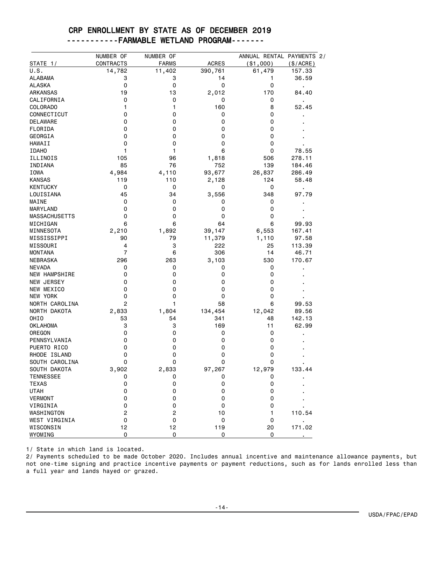#### CRP ENROLLMENT BY STATE AS OF DECEMBER 2019 -----------FARMABLE WETLAND PROGRAM-------

|                      | NUMBER OF      | NUMBER OF      |              | ANNUAL RENTAL PAYMENTS 2/ |                |
|----------------------|----------------|----------------|--------------|---------------------------|----------------|
| STATE 1/             | CONTRACTS      | <b>FARMS</b>   | <b>ACRES</b> | ( \$1,000)                | (\$/ACRE)      |
| U.S.                 | 14,782         | 11,402         | 390,761      | 61,479                    | 157.33         |
| ALABAMA              | 3              | 3              | 14           | 1                         | 36.59          |
| <b>ALASKA</b>        | 0              | 0              | 0            | 0                         | $\blacksquare$ |
| <b>ARKANSAS</b>      | 19             | 13             | 2,012        | 170                       | 84.40          |
| CALIFORNIA           | 0              | 0              | 0            | 0                         |                |
| COLORADO             | 1              | 1              | 160          | 8                         | 52.45          |
| CONNECTICUT          | 0              | 0              | 0            | 0                         |                |
| DELAWARE             | 0              | 0              | 0            | 0                         |                |
| FLORIDA              | 0              | 0              | 0            | 0                         |                |
| GEORGIA              | 0              | 0              | 0            | 0                         |                |
| HAWAII               | 0              | 0              | 0            | 0                         |                |
| <b>IDAHO</b>         | 1              | 1              | 6            | 0                         | 78.55          |
| ILLINOIS             | 105            | 96             | 1,818        | 506                       | 278.11         |
| INDIANA              | 85             | 76             | 752          | 139                       | 184.46         |
| IOWA                 | 4,984          | 4,110          | 93,677       | 26,837                    | 286.49         |
| <b>KANSAS</b>        | 119            | 110            | 2,128        | 124                       | 58.48          |
| <b>KENTUCKY</b>      | 0              | 0              | 0            | 0                         | $\blacksquare$ |
| LOUISIANA            | 45             | 34             | 3,556        | 348                       | 97.79          |
| MAINE                | 0              | 0              | 0            | 0                         |                |
| MARYLAND             | 0              | 0              | 0            | 0                         |                |
| <b>MASSACHUSETTS</b> | 0              | 0              | 0            | 0                         |                |
| MICHIGAN             | 6              | 6              | 64           | 6                         | 99.93          |
| MINNESOTA            | 2,210          | 1,892          | 39,147       | 6,553                     | 167.41         |
| MISSISSIPPI          | 90             | 79             | 11,379       | 1,110                     | 97.58          |
| MISSOURI             | 4              | 3              | 222          | 25                        | 113.39         |
| <b>MONTANA</b>       | 7              | 6              | 306          | 14                        | 46.71          |
| NEBRASKA             | 296            | 263            | 3,103        | 530                       | 170.67         |
| <b>NEVADA</b>        | 0              | 0              | 0            | 0                         |                |
| <b>NEW HAMPSHIRE</b> | 0              | 0              | 0            | 0                         |                |
| NEW JERSEY           | 0              | 0              | 0            | 0                         |                |
| NEW MEXICO           | 0              | 0              | 0            | 0                         |                |
| NEW YORK             | 0              | 0              | 0            | 0                         |                |
|                      | 2              | 1              |              | 6                         |                |
| NORTH CAROLINA       |                |                | 58           |                           | 99.53          |
| NORTH DAKOTA         | 2,833          | 1,804          | 134,454      | 12,042                    | 89.56          |
| OHIO                 | 53<br>3        | 54             | 341          | 48                        | 142.13         |
| OKLAHOMA             | 0              | 3              | 169          | 11                        | 62.99          |
| OREGON               | 0              | 0<br>0         | 0            | 0                         |                |
| PENNSYLVANIA         |                |                | 0            | 0                         |                |
| PUERTO RICO          | 0              | 0              | 0            | 0                         |                |
| RHODE ISLAND         | 0              | 0              | 0            | 0                         |                |
| SOUTH CAROLINA       | 0              | 0              | 0            | 0                         |                |
| SOUTH DAKOTA         | 3,902          | 2,833          | 97,267       | 12,979                    | 133.44         |
| <b>TENNESSEE</b>     | 0              | 0              | 0            | 0                         |                |
| <b>TEXAS</b>         | 0              | 0              | 0            | 0                         |                |
| <b>UTAH</b>          | 0              | 0              | 0            | 0                         |                |
| <b>VERMONT</b>       | 0              | 0              | 0            | 0                         |                |
| VIRGINIA             | 0              | 0              | 0            | 0                         |                |
| WASHINGTON           | $\overline{c}$ | $\overline{c}$ | 10           | 1                         | 110.54         |
| <b>WEST VIRGINIA</b> | 0              | 0              | 0            | 0                         |                |
| WISCONSIN            | 12             | 12             | 119          | 20                        | 171.02         |
| WYOMING              | 0              | 0              | 0            | 0                         |                |

1/ State in which land is located.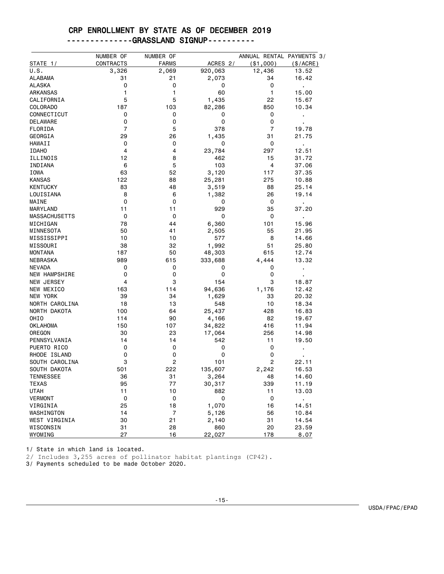# CRP ENROLLMENT BY STATE AS OF DECEMBER 2019

|  | -------------GRASSLAND SIGNUP---------- |
|--|-----------------------------------------|
|  |                                         |

|                      | NUMBER OF      | NUMBER OF      |          | ANNUAL RENTAL PAYMENTS 3/ |                |
|----------------------|----------------|----------------|----------|---------------------------|----------------|
| STATE 1/             | CONTRACTS      | <b>FARMS</b>   | ACRES 2/ | ( \$1,000)                | (\$/ACRE)      |
| U.S.                 | 3,326          | 2,069          | 920,063  | 12,436                    | 13.52          |
| ALABAMA              | 31             | 21             | 2,073    | 34                        | 16.42          |
| ALASKA               | 0              | 0              | 0        | 0                         | $\blacksquare$ |
| <b>ARKANSAS</b>      | 1              | 1              | 60       | 1                         | 15.00          |
| CALIFORNIA           | 5              | 5              | 1,435    | 22                        | 15.67          |
| COLORADO             | 187            | 103            | 82,286   | 850                       | 10.34          |
| CONNECTICUT          | 0              | 0              | 0        | 0                         | j,             |
| DELAWARE             | 0              | 0              | 0        | 0                         |                |
| FLORIDA              | $\overline{7}$ | 5              | 378      | $\overline{7}$            | 19.78          |
| GEORGIA              | 29             | 26             | 1,435    | 31                        | 21.75          |
| HAWAII               | 0              | 0              | 0        | 0                         | l,             |
| <b>IDAHO</b>         | 4              | 4              | 23,784   | 297                       | 12.51          |
| ILLINOIS             | 12             | 8              | 462      | 15                        | 31.72          |
| INDIANA              | 6              | 5              | 103      | 4                         | 37.06          |
| IOWA                 | 63             | 52             | 3,120    | 117                       | 37.35          |
| <b>KANSAS</b>        | 122            | 88             | 25,281   | 275                       | 10.88          |
|                      |                |                |          |                           |                |
| <b>KENTUCKY</b>      | 83             | 48             | 3,519    | 88                        | 25.14          |
| LOUISIANA            | 8              | 6              | 1,382    | 26                        | 19.14          |
| MAINE                | 0              | 0              | 0        | 0                         | $\blacksquare$ |
| MARYLAND             | 11             | 11             | 929      | 35                        | 37.20          |
| <b>MASSACHUSETTS</b> | 0              | 0              | 0        | 0                         | $\blacksquare$ |
| MICHIGAN             | 78             | 44             | 6,360    | 101                       | 15.96          |
| MINNESOTA            | 50             | 41             | 2,505    | 55                        | 21.95          |
| MISSISSIPPI          | 10             | 10             | 577      | 8                         | 14.66          |
| MISSOURI             | 38             | 32             | 1,992    | 51                        | 25.80          |
| <b>MONTANA</b>       | 187            | 50             | 48,303   | 615                       | 12.74          |
| NEBRASKA             | 989            | 615            | 333,688  | 4,444                     | 13.32          |
| <b>NEVADA</b>        | 0              | 0              | 0        | 0                         | $\blacksquare$ |
| <b>NEW HAMPSHIRE</b> | 0              | 0              | 0        | 0                         |                |
| NEW JERSEY           | 4              | 3              | 154      | 3                         | 18.87          |
| NEW MEXICO           | 163            | 114            | 94,636   | 1,176                     | 12.42          |
| NEW YORK             | 39             | 34             | 1,629    | 33                        | 20.32          |
| NORTH CAROLINA       | 18             | 13             | 548      | 10                        | 18.34          |
| NORTH DAKOTA         | 100            | 64             | 25,437   | 428                       | 16.83          |
| OHIO                 | 114            | 90             | 4,166    | 82                        | 19.67          |
| OKLAHOMA             | 150            | 107            | 34,822   | 416                       | 11.94          |
| OREGON               | 30             | 23             | 17,064   | 256                       | 14.98          |
| PENNSYLVANIA         | 14             | 14             | 542      | 11                        | 19.50          |
| PUERTO RICO          | 0              | 0              | 0        | 0                         |                |
| RHODE ISLAND         | 0              | 0              | 0        | 0                         |                |
| SOUTH CAROLINA       | 3              | 2              | 101      | 2                         | 22.11          |
| SOUTH DAKOTA         | 501            | 222            | 135,607  | 2,242                     | 16.53          |
| <b>TENNESSEE</b>     | 36             | 31             | 3,264    | 48                        | 14.60          |
| <b>TEXAS</b>         | 95             | 77             | 30,317   | 339                       | 11.19          |
| <b>UTAH</b>          | 11             | 10             | 882      | 11                        | 13.03          |
| VERMONT              | 0              | 0              | 0        | 0                         | ×,             |
| VIRGINIA             | 25             | 18             | 1,070    | 16                        | 14.51          |
| WASHINGTON           | 14             | $\overline{7}$ | 5,126    | 56                        | 10.84          |
| WEST VIRGINIA        | 30             | 21             | 2,140    | 31                        | 14.54          |
| WISCONSIN            | 31             | 28             | 860      | 20                        | 23.59          |
| WYOMING              | 27             | 16             | 22,027   | 178                       | 8.07           |

1/ State in which land is located.

2/ Includes 3,255 acres of pollinator habitat plantings (CP42).

3/ Payments scheduled to be made October 2020.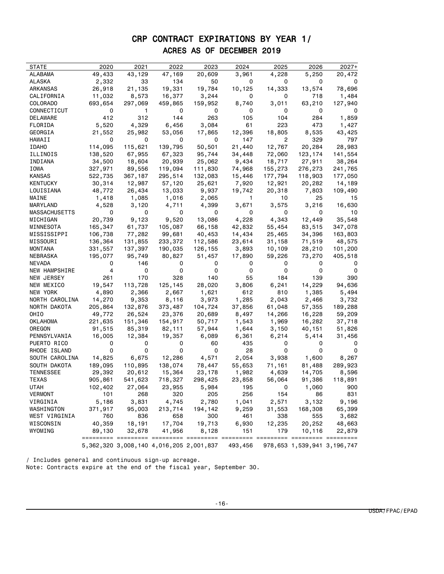## CRP CONTRACT EXPIRATIONS BY YEAR 1/ ACRES AS OF DECEMBER 2019

| STATE<br>2020<br>2021<br>2022<br>2023<br>2024<br>2025<br>2026                          | $2027+$ |
|----------------------------------------------------------------------------------------|---------|
| ALABAMA<br>49,433<br>43,129<br>47,169<br>20,609<br>3,961<br>4,228<br>5,250             | 20,472  |
| 134<br>ALASKA<br>2,332<br>33<br>50<br>0<br>0<br>0                                      | 0       |
| 19,331<br>19,784<br>26,918<br>21,135<br>10,125<br>14,333<br>13,574<br>ARKANSAS         | 78,696  |
| 0<br>CALIFORNIA<br>8,573<br>16,377<br>3,244<br>0<br>718<br>11,032                      | 1,484   |
| COLORADO<br>693,654<br>297,069<br>459,865<br>159,952<br>8,740<br>3,011<br>63,210       | 127,940 |
| CONNECTICUT<br>0<br>1<br>0<br>0<br>0<br>0<br>0                                         | 0       |
| 412<br>312<br>144<br>263<br>104<br>DELAWARE<br>105<br>284                              | 1,859   |
| FLORIDA<br>5,520<br>4,329<br>6,456<br>3,084<br>61<br>223<br>473                        | 1,427   |
| GEORGIA<br>25,982<br>53,056<br>17,865<br>12,396<br>18,805<br>8,535                     | 43,425  |
| 21,552<br>0<br>0<br>0<br>147<br>2<br>329<br>HAWAII<br>0                                | 797     |
| 114,095<br>50,501<br><b>IDAHO</b>                                                      | 28,983  |
| 115,621<br>139,795<br>21,440<br>12,767<br>20,284<br>67,323                             |         |
| 138,520<br>67,955<br>95,744<br>34,448<br>72,060<br>123,174<br>ILLINOIS                 | 141,554 |
| 18,717<br>34,500<br>18,604<br>20,939<br>25,062<br>9,434<br>27,911<br>INDIANA           | 38,264  |
| IOWA<br>327,971<br>89,556<br>119,094<br>111,830<br>74,968<br>155,273<br>276,273        | 241,765 |
| 522,735<br>367,187<br>295,514<br>177,794<br>118,903<br>KANSAS<br>132,083<br>15,446     | 177,050 |
| 30,314<br>12,987<br>57,120<br>KENTUCKY<br>25,621<br>7,920<br>12,921<br>20,282          | 14,189  |
| 48,772<br>26,434<br>9,937<br>19,742<br>LOUISIANA<br>13,033<br>20,318<br>7,803          | 109,490 |
| MAINE<br>2,065<br>25<br>1,418<br>1,085<br>1,016<br>1.<br>10                            | 15      |
| 3,575<br>MARYLAND<br>4,528<br>3,120<br>4,711<br>4,399<br>3,671<br>3,216                | 16,630  |
| MASSACHUSETTS<br>0<br>0<br>0<br>0<br>0<br>0<br>0                                       | 10      |
| 4,228<br>4,343<br>20,739<br>9,123<br>9,520<br>13,086<br>12,449<br>MICHIGAN             | 35,548  |
| 165,347<br>61,737<br>105,087<br>66,158<br>42,832<br>55,454<br>83,515<br>MINNESOTA      | 347,078 |
| 106,738<br>77,282<br>99,681<br>40,453<br>14,434<br>34,396<br>25,465<br>MISSISSIPPI     | 163,803 |
| 136,364<br>131,855<br>233,372<br>112,586<br>23,614<br>31,158<br>71,519<br>MISSOURI     | 48,575  |
| 331,557<br>137,397<br>126,155<br>10,109<br>MONTANA<br>190,035<br>3,893<br>28,210       | 101,200 |
| NEBRASKA<br>195,077<br>95,749<br>80,827<br>51,457<br>17,890<br>59,226<br>73,270        | 405,518 |
| NEVADA<br>146<br>0<br>0<br>0<br>0<br>0                                                 |         |
| 4<br>0<br>NEW HAMPSHIRE<br>0<br>0<br>0<br>0<br>0                                       | 0       |
| 140<br>139<br>NEW JERSEY<br>261<br>170<br>328<br>55<br>184                             | 390     |
| NEW MEXICO<br>19,547<br>113,728<br>125,145<br>28,020<br>3,806<br>6,241<br>14,229       | 94,636  |
| NEW YORK<br>4,890<br>2,366<br>2,667<br>1,621<br>612<br>810<br>1,385                    | 5,494   |
| NORTH CAROLINA<br>14,270<br>9,353<br>8,116<br>3,973<br>1,285<br>2,043<br>2,466         | 3,732   |
| NORTH DAKOTA<br>205,864<br>132,876<br>373,487<br>104,724<br>61,048<br>57,355<br>37,856 | 189,288 |
| OHIO<br>49,772<br>26,524<br>23,376<br>20,689<br>14,266<br>16,228<br>8,497              | 59,209  |
| OKLAHOMA<br>221,635<br>151,346<br>154,917<br>50,717<br>1,969<br>16,282<br>1,543        | 37,718  |
| 91,515<br>OREGON<br>85,319<br>82,111<br>57,944<br>40,151<br>1,644<br>3,150             | 51,826  |
| 16,005<br>19,357<br>PENNSYLVANIA<br>12,384<br>6,089<br>6,361<br>6,214<br>5,414         | 31,456  |
| PUERTO RICO<br>0<br>0<br>0<br>435<br>60<br>0                                           | 0       |
| RHODE ISLAND<br>0<br>28<br>0<br>0<br>0<br>0<br>0                                       | 0       |
| SOUTH CAROLINA<br>14,825<br>6,675<br>12,286<br>4,571<br>2,054<br>3,938<br>1,600        | 8,267   |
| SOUTH DAKOTA<br>189,095<br>110,895<br>138,074<br>78,447<br>55,653<br>71,161<br>81,488  | 289,923 |
| TENNESSEE<br>20,612<br>23,178<br>29,392<br>15,364<br>1,982<br>4,639<br>14,705          | 8,596   |
| TEXAS<br>905,861<br>541,623<br>91,386<br>718,327<br>298,425<br>23,858<br>56,064        | 118,891 |
| 195<br>0<br>UTAH<br>102,402<br>27,064<br>23,955<br>5,984<br>1,060                      | 900     |
| <b>VERMONT</b><br>101<br>268<br>320<br>205<br>256<br>154<br>86                         | 831     |
| VIRGINIA<br>5,186<br>3,831<br>4,745<br>2,780<br>2,571<br>3,132<br>1,041                | 9,196   |
| 213,714<br>194,142<br>168,308<br>WASHINGTON<br>371,917<br>95,003<br>9,259<br>31,553    | 65,399  |
| WEST VIRGINIA<br>760<br>836<br>658<br>300<br>461<br>338<br>555                         | 3,682   |
| 40,359<br>17,704<br>19,713<br>6,930<br>12,235<br>WISCONSIN<br>18,191<br>20,252         | 48,663  |
| WYOMING<br>41,956<br>151<br>179<br>10,116<br>89,130<br>32,678<br>8,128                 | 22,879  |
|                                                                                        |         |
| 5,362,320 3,008,140 4,016,205 2,001,837<br>493,456<br>978,653 1,539,941 3,196,747      |         |

/ Includes general and continuous sign-up acreage. Note: Contracts expire at the end of the fiscal year, September 30.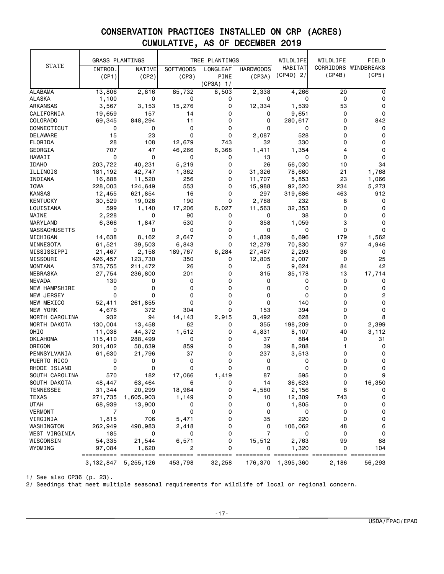|                      | <b>GRASS PLANTINGS</b> |           |                  | TREE PLANTINGS |                  | WILDLIFE    | WILDLIFE | FIELD                |
|----------------------|------------------------|-----------|------------------|----------------|------------------|-------------|----------|----------------------|
| <b>STATE</b>         | INTROD.                | NATIVE    | <b>SOFTWOODS</b> | LONGLEAF       | <b>HARDWOODS</b> | HABITAT     |          | CORRIDORS WINDBREAKS |
|                      | (CP1)                  | (CP2)     | (CP3)            | PINE           | (CP3A)           | $(CP4D)$ 2/ | (CP4B)   | (CP5)                |
|                      |                        |           |                  | $(CP3A)$ 1/    |                  |             |          |                      |
| <b>ALABAMA</b>       | 13,806                 | 2,816     | 85,732           | 8,503          | 2,338            | 4,266       | 20       | 0                    |
| <b>ALASKA</b>        | 1,100                  | 0         | 0                | 0              | 0                | 0           | 0        | 0                    |
| <b>ARKANSAS</b>      | 3,567                  | 3,153     | 15,276           | 0              | 12,334           | 1,539       | 53       | 0                    |
| CALIFORNIA           | 19,659                 | 157       | 14               | 0              | 0                | 9,651       | 0        | 0                    |
| COLORADO             | 69,345                 | 848,294   | 11               | 0              | 0                | 280,617     | 0        | 842                  |
| CONNECTICUT          | 0                      | 0         | 0                | 0              | 0                | 0           | 0        | 0                    |
| DELAWARE             | 15                     | 23        | 0                | 0              | 2,087            | 528         | 0        | 0                    |
| FLORIDA              | 28                     | 108       | 12,679           | 743            | 32               | 330         | 0        | 0                    |
| <b>GEORGIA</b>       | 707                    | 47        | 46,266           | 6,368          | 1,411            | 1,354       | 4        | 0                    |
| HAWAII               | 0                      | 0         | 0                | 0              | 13               | 0           | 0        | 0                    |
| <b>IDAHO</b>         | 203,722                | 40,231    | 5,219            | 0              | 26               | 56,030      | 10       | 34                   |
| ILLINOIS             | 181,192                | 42,747    | 1,362            | 0              | 31,326           | 78,660      | 21       | 1,768                |
| INDIANA              | 16,888                 | 11,520    | 256              | 0              | 11,707           | 5,853       | 23       | 1,066                |
| IOWA                 | 228,003                | 124,649   | 553              | 0              | 15,988           | 92,520      | 234      | 5,273                |
| <b>KANSAS</b>        | 12,455                 | 621,854   | 16               | 0              | 297              | 319,686     | 463      | 912                  |
| KENTUCKY             | 30,529                 | 19,028    | 190              | 0              | 2,788            | 232         | 8        | 0                    |
| LOUISIANA            | 599                    | 1,140     | 17,206           | 6,027          | 11,563           | 32,353      | 0        | 0                    |
| MAINE                | 2,228                  | 0         | 90               | 0              | 0                | 38          | 0        | 0                    |
| MARYLAND             | 6,366                  | 1,847     | 530              | 0              | 358              | 1,059       | 3        | 0                    |
| <b>MASSACHUSETTS</b> | 0                      | 0         | 0                | 0              | 0                | 0           | 0        | 0                    |
| MICHIGAN             | 14,638                 | 8,162     | 2,647            | 0              | 1,839            | 6,696       | 179      | 1,562                |
| MINNESOTA            | 61,521                 | 39,503    | 6,843            | 0              | 12,279           | 70,830      | 97       | 4,946                |
| MISSISSIPPI          | 21,467                 | 2,158     | 189,767          | 6,284          | 27,467           | 2,293       | 36       | 0                    |
| MISSOURI             | 426,457                | 123,730   | 350              | 0              | 12,805           | 2,007       | 0        | 25                   |
| MONTANA              | 375,755                | 211,472   | 26               | 0              | 5                | 9,624       | 84       | 42                   |
| NEBRASKA             | 27,754                 | 236,800   | 201              | 0              | 315              | 35,178      | 13       | 17,714               |
| <b>NEVADA</b>        | 130                    | 0         | 0                | 0              | 0                | 0           | 0        | 0                    |
| <b>NEW HAMPSHIRE</b> | 0                      | 0         | 0                | 0              | 0                | 0           | 0        | 0                    |
| NEW JERSEY           | 0                      | 0         | 0                | 0              | 0                | 0           | 0        | 2                    |
| NEW MEXICO           | 52,411                 | 261,855   | 0                | 0              | 0                | 140         | 0        | 0                    |
| NEW YORK             | 4,676                  | 372       | 304              | 0              | 153              | 394         | 0        | 0                    |
| NORTH CAROLINA       | 932                    | 94        | 14,143           | 2,915          | 3,492            | 628         | 0        | 8                    |
| NORTH DAKOTA         | 130,004                | 13,458    | 62               | 0              | 355              | 198,209     | 0        | 2,399                |
| OHIO                 | 11,038                 | 44,372    | 1,512            | 0              | 4,831            | 8,107       | 40       | 3,112                |
| <b>OKLAHOMA</b>      | 115,410                | 288,499   | 0                | 0              | 37               | 884         | 0        | 31                   |
| OREGON               | 201,402                | 58,639    | 859              | 0              | 39               | 8,288       | 1        | 0                    |
| PENNSYLVANIA         | 61,630                 | 21,796    | 37               | 0              | 237              | 3,513       | 0        | 0                    |
| PUERTO RICO          | 0                      | 0         | 0                | 0              | 0                | 0           | 0        | 0                    |
| RHODE ISLAND         | 0                      | 0         | 0                | 0              | 0                | 0           | 0        | 0                    |
| SOUTH CAROLINA       | 570                    | 182       | 17,066           | 1,419          | 87               | 595         |          | 9                    |
| SOUTH DAKOTA         | 48,447                 | 63,464    | 6                | 0              | 14               | 36,623      | 0        | 16,350               |
| <b>TENNESSEE</b>     | 31,344                 | 20,299    | 18,964           | 0              | 4,580            | 2,156       | 8        | 0                    |
| TEXAS                | 271,735                | 1,605,903 | 1,149            | 0              | 10               | 12,309      | 743      | 0                    |
| UTAH                 | 68,939                 | 13,900    | 0                | 0              | 0                | 1,805       | 0        | 0                    |
| VERMONT              | 7                      | 0         | 0                | 0              | 0                | 0           | 0        | 0                    |
| VIRGINIA             | 1,815                  | 706       | 5,471            | 0              | 35               | 220         | 0        | 0                    |
| WASHINGTON           | 262,949                | 498,983   | 2,418            | 0              | 0                | 106,062     | 48       | 6                    |
| WEST VIRGINIA        | 185                    | 0         | 0                | 0              | $\overline{7}$   | 0           | 0        | 0                    |
| WISCONSIN            | 54,335                 | 21,544    | 6,571            | 0              | 15,512           | 2,763       | 99       | 88                   |
| WYOMING              | 97,084                 | 1,620     | 2                | 0              | 0                | 1,320       | 0        | 104                  |
|                      | ==========             | $=$ $=$   |                  |                |                  | === =       |          | ====== ==========    |
|                      | 3, 132, 847            | 5,255,126 | 453,798          | 32,258         | 176,370          | 1,395,360   | 2,186    | 56,293               |

1/ See also CP36 (p. 23).

2/ Seedings that meet multiple seasonal requirements for wildlife of local or regional concern.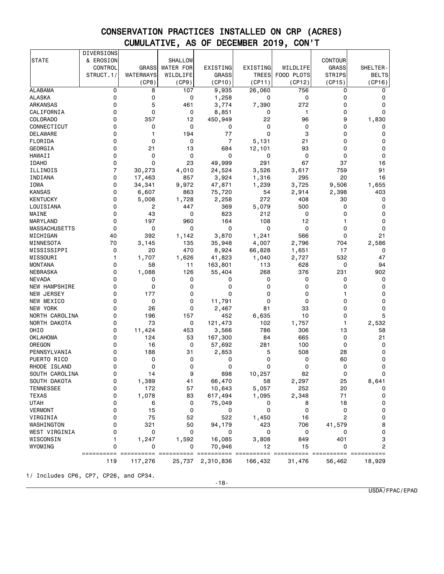|                      | DIVERSIONS     |              |                  |                |                        |              |                                                                                                                                                                                                                                                                                                                                                                                                                                                                                        |              |
|----------------------|----------------|--------------|------------------|----------------|------------------------|--------------|----------------------------------------------------------------------------------------------------------------------------------------------------------------------------------------------------------------------------------------------------------------------------------------------------------------------------------------------------------------------------------------------------------------------------------------------------------------------------------------|--------------|
| <b>STATE</b>         | & EROSION      |              | SHALLOW          |                |                        |              | <b>CONTOUR</b>                                                                                                                                                                                                                                                                                                                                                                                                                                                                         |              |
|                      | CONTROL        | <b>GRASS</b> | <b>WATER FOR</b> | EXISTING       | EXISTING               | WILDLIFE     | <b>GRASS</b>                                                                                                                                                                                                                                                                                                                                                                                                                                                                           | SHELTER-     |
|                      | STRUCT.1/      | WATERWAYS    | WILDLIFE         | <b>GRASS</b>   | <b>TREES</b>           | FOOD PLOTS   | <b>STRIPS</b>                                                                                                                                                                                                                                                                                                                                                                                                                                                                          | <b>BELTS</b> |
|                      |                | (CP8)        | (CP9)            | (CP10)         | (CP11)                 | (CP12)       | (CP15)                                                                                                                                                                                                                                                                                                                                                                                                                                                                                 | (CP16)       |
| <b>ALABAMA</b>       | 0              | 8            | 107              | 9,935          | 26,060                 | 756          | 0                                                                                                                                                                                                                                                                                                                                                                                                                                                                                      | 0            |
| <b>ALASKA</b>        | 0              | 0            | 0                | 1,258          | 0                      | 0            | 0                                                                                                                                                                                                                                                                                                                                                                                                                                                                                      | 0            |
| ARKANSAS             | 0              | 5            | 461              | 3,774          | 7,390                  | 272          | 0                                                                                                                                                                                                                                                                                                                                                                                                                                                                                      | 0            |
| CALIFORNIA           | 0              | 0            | 0                | 8,851          | 0                      | 1            | 0                                                                                                                                                                                                                                                                                                                                                                                                                                                                                      | 0            |
| COLORADO             | 0              | 357          | 12               | 450,949        | 22                     | 96           | 9                                                                                                                                                                                                                                                                                                                                                                                                                                                                                      | 1,830        |
| CONNECTICUT          | 0              | 0            | 0                | 0              | 0                      | 0            | 0                                                                                                                                                                                                                                                                                                                                                                                                                                                                                      | 0            |
| DELAWARE             | 0              | 1            | 194              | 77             | $\Omega$               | 3            | 0                                                                                                                                                                                                                                                                                                                                                                                                                                                                                      | 0            |
| FLORIDA              | 0              | 0            | 0                | $\overline{7}$ | 5,131                  | 21           | 0                                                                                                                                                                                                                                                                                                                                                                                                                                                                                      | 0            |
| GEORGIA              | 0              | 21           | 13               | 684            | 12,101                 | 93           | 0                                                                                                                                                                                                                                                                                                                                                                                                                                                                                      | 0            |
| HAWAII               | 0              | 0            | $\mathbf 0$      | 0              | 0                      | 0            | 0                                                                                                                                                                                                                                                                                                                                                                                                                                                                                      | 0            |
| <b>IDAHO</b>         | 0              | 0            | 23               | 49,999         | 291                    | 67           | 37                                                                                                                                                                                                                                                                                                                                                                                                                                                                                     | 16           |
|                      | $\overline{7}$ | 30,273       |                  |                |                        |              | 759                                                                                                                                                                                                                                                                                                                                                                                                                                                                                    | 91           |
| ILLINOIS             | 0              |              | 4,010            | 24,524         | 3,526                  | 3,617<br>295 | 20                                                                                                                                                                                                                                                                                                                                                                                                                                                                                     |              |
| INDIANA              | 0              | 17,463       | 857              | 3,924          | 1,316                  |              |                                                                                                                                                                                                                                                                                                                                                                                                                                                                                        | 16           |
| IOWA                 |                | 34,341       | 9,972            | 47,871         | 1,239                  | 3,725        | 9,506                                                                                                                                                                                                                                                                                                                                                                                                                                                                                  | 1,655        |
| <b>KANSAS</b>        | 0              | 6,607        | 863              | 75,720         | 54                     | 2,914        | 2,398                                                                                                                                                                                                                                                                                                                                                                                                                                                                                  | 403          |
| <b>KENTUCKY</b>      | 0              | 5,008        | 1,728            | 2,258          | 272                    | 408          | 30                                                                                                                                                                                                                                                                                                                                                                                                                                                                                     | 0            |
| LOUISIANA            | 0              | 2            | 447              | 369            | 5,079                  | 500          | 0                                                                                                                                                                                                                                                                                                                                                                                                                                                                                      | 0            |
| MAINE                | 0              | 43           | 0                | 823            | 212                    | 0            | 0                                                                                                                                                                                                                                                                                                                                                                                                                                                                                      | 0            |
| MARYLAND             | 0              | 197          | 960              | 164            | 108                    | 12           | 1                                                                                                                                                                                                                                                                                                                                                                                                                                                                                      | 0            |
| MASSACHUSETTS        | 0              | 0            | 0                | 0              | 0                      | 0            | 0                                                                                                                                                                                                                                                                                                                                                                                                                                                                                      | 0            |
| MICHIGAN             | 40             | 392          | 1,142            | 3,870          | 1,241                  | 566          | 0                                                                                                                                                                                                                                                                                                                                                                                                                                                                                      | 21           |
| MINNESOTA            | 70             | 3,145        | 135              | 35,948         | 4,007                  | 2,796        | 704                                                                                                                                                                                                                                                                                                                                                                                                                                                                                    | 2,586        |
| MISSISSIPPI          | 0              | 20           | 470              | 8,924          | 66,828                 | 1,651        | 17                                                                                                                                                                                                                                                                                                                                                                                                                                                                                     | 0            |
| MISSOURI             | 1              | 1,707        | 1,626            | 41,823         | 1,040                  | 2,727        | 532                                                                                                                                                                                                                                                                                                                                                                                                                                                                                    | 47           |
| <b>MONTANA</b>       | 0              | 58           | 11               | 163,801        | 113                    | 628          | 0                                                                                                                                                                                                                                                                                                                                                                                                                                                                                      | 94           |
| NEBRASKA             | 0              | 1,088        | 126              | 55,404         | 268                    | 376          | 231                                                                                                                                                                                                                                                                                                                                                                                                                                                                                    | 902          |
| <b>NEVADA</b>        | 0              | 0            | 0                | 0              | 0                      | 0            | 0                                                                                                                                                                                                                                                                                                                                                                                                                                                                                      | 0            |
| <b>NEW HAMPSHIRE</b> | 0              | 0            | 0                | 0              | 0                      | 0            | 0                                                                                                                                                                                                                                                                                                                                                                                                                                                                                      | 0            |
| NEW JERSEY           | 0              | 177          | 0                | 0              | 0                      | 0            | 1                                                                                                                                                                                                                                                                                                                                                                                                                                                                                      | 0            |
| NEW MEXICO           | 0              | 0            | 0                | 11,791         | 0                      | 0            | 0                                                                                                                                                                                                                                                                                                                                                                                                                                                                                      | 0            |
| NEW YORK             | 0              | 26           | 0                | 2,467          | 81                     | 33           | 0                                                                                                                                                                                                                                                                                                                                                                                                                                                                                      | 0            |
| NORTH CAROLINA       | 0              | 196          | 157              | 452            | 6,635                  | 10           | 0                                                                                                                                                                                                                                                                                                                                                                                                                                                                                      | 5            |
| NORTH DAKOTA         | 0              | 73           | 0                | 121,473        | 102                    | 1,757        | 1                                                                                                                                                                                                                                                                                                                                                                                                                                                                                      | 2,532        |
| OHI <sub>0</sub>     | 0              | 11,424       | 453              | 3,566          | 786                    | 306          | 13                                                                                                                                                                                                                                                                                                                                                                                                                                                                                     | 58           |
| OKLAHOMA             | 0              | 124          | 53               | 167,300        | 84                     | 665          | 0                                                                                                                                                                                                                                                                                                                                                                                                                                                                                      | 21           |
| OREGON               | 0              | 16           | 0                | 57,692         | 281                    | 100          | 0                                                                                                                                                                                                                                                                                                                                                                                                                                                                                      | 0            |
| PENNSYLVANIA         | 0              | 188          | 31               | 2,853          | 5                      | 508          | 28                                                                                                                                                                                                                                                                                                                                                                                                                                                                                     | 0            |
| PUERTO RICO          | 0              | 0            | 0                | 0              | 0                      | 0            | 60                                                                                                                                                                                                                                                                                                                                                                                                                                                                                     | 0            |
| RHODE ISLAND         | 0              | 0            | 0                | 0              | 0                      | 0            | 0                                                                                                                                                                                                                                                                                                                                                                                                                                                                                      | 0            |
| SOUTH CAROLINA       | 0              | 14           | 9                | 898            | 10,257                 | 82           | $\Omega$                                                                                                                                                                                                                                                                                                                                                                                                                                                                               | $\Omega$     |
| SOUTH DAKOTA         | 0              | 1,389        | 41               | 66,470         | 58                     | 2,297        | 25                                                                                                                                                                                                                                                                                                                                                                                                                                                                                     | 8,641        |
| <b>TENNESSEE</b>     | 0              | 172          | 57               | 10,643         | 5,057                  | 252          | 20                                                                                                                                                                                                                                                                                                                                                                                                                                                                                     | 0            |
| <b>TEXAS</b>         | 0              | 1,078        | 83               | 617,494        | 1,095                  | 2,348        | 71                                                                                                                                                                                                                                                                                                                                                                                                                                                                                     | 0            |
| <b>UTAH</b>          | 0              | 6            | 0                | 75,049         | 0                      | 8            | 18                                                                                                                                                                                                                                                                                                                                                                                                                                                                                     | 0            |
| <b>VERMONT</b>       | 0              | 15           | 0                | 0              | $\mathbf 0$            | 0            | 0                                                                                                                                                                                                                                                                                                                                                                                                                                                                                      | 0            |
| VIRGINIA             | 0              | 75           | 52               | 522            | 1,450                  | 16           | $\overline{c}$                                                                                                                                                                                                                                                                                                                                                                                                                                                                         | 0            |
| WASHINGTON           | 0              | 321          | 50               | 94,179         | 423                    | 706          | 41,579                                                                                                                                                                                                                                                                                                                                                                                                                                                                                 | 8            |
| WEST VIRGINIA        | 0              | 0            | 0                | 0              | 0                      | 0            | 0                                                                                                                                                                                                                                                                                                                                                                                                                                                                                      | 0            |
| WISCONSIN            | 1              | 1,247        | 1,592            | 16,085         | 3,808                  | 849          | 401                                                                                                                                                                                                                                                                                                                                                                                                                                                                                    | 3            |
| WYOMING              | $\Omega$       | 0            | 0                | 70,946         | 12                     | 15           | 0                                                                                                                                                                                                                                                                                                                                                                                                                                                                                      | 2            |
|                      |                |              |                  | ===            | ----------- ---------- |              | $\begin{array}{cccccccccc} \multicolumn{2}{c}{} & \multicolumn{2}{c}{} & \multicolumn{2}{c}{} & \multicolumn{2}{c}{} & \multicolumn{2}{c}{} & \multicolumn{2}{c}{} & \multicolumn{2}{c}{} & \multicolumn{2}{c}{} & \multicolumn{2}{c}{} & \multicolumn{2}{c}{} & \multicolumn{2}{c}{} & \multicolumn{2}{c}{} & \multicolumn{2}{c}{} & \multicolumn{2}{c}{} & \multicolumn{2}{c}{} & \multicolumn{2}{c}{} & \multicolumn{2}{c}{} & \multicolumn{2}{c}{} & \multicolumn{2}{c}{} & \mult$ |              |
|                      | 119            | 117,276      | 25,737           | 2,310,836      | 166,432                | 31,476       | 56,462                                                                                                                                                                                                                                                                                                                                                                                                                                                                                 | 18,929       |
|                      |                |              |                  |                |                        |              |                                                                                                                                                                                                                                                                                                                                                                                                                                                                                        |              |

1/ Includes CP6, CP7, CP26, and CP34.

USDA/FPAC/EPAD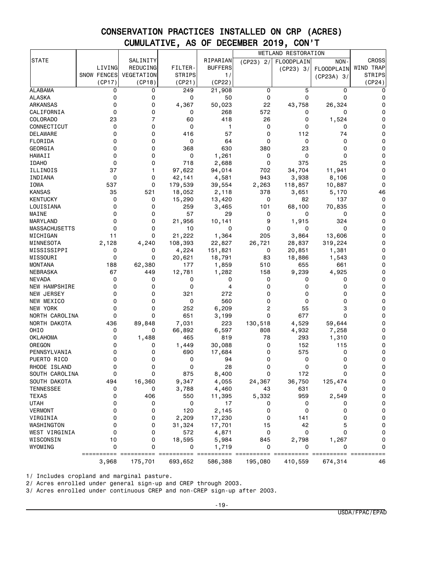|                      |                    |            |               |                |             | WETLAND RESTORATION |                   |               |
|----------------------|--------------------|------------|---------------|----------------|-------------|---------------------|-------------------|---------------|
| <b>STATE</b>         |                    | SALINITY   |               | RIPARIAN       | $(CP23)$ 2/ | <b>FLOODPLAIN</b>   | NON-              | <b>CROSS</b>  |
|                      | LIVING             | REDUCING   | FILTER-       | <b>BUFFERS</b> |             | (CP23) 3/           | <b>FLOODPLAIN</b> | WIND TRAP     |
|                      | <b>SNOW FENCES</b> | VEGETATION | <b>STRIPS</b> | 1/             |             |                     | $(CP23A)$ 3/      | <b>STRIPS</b> |
|                      | (CP17)             | (CP18)     | (CP21)        | (CP22)         |             |                     |                   | (CP24)        |
| ALABAMA              | 0                  | 0          | 249           | 21,908         | 0           | 5                   | 0                 | 0             |
| <b>ALASKA</b>        | 0                  | 0          | 0             | 50             | 0           | 0                   | 0                 | 0             |
| ARKANSAS             | 0                  | 0          | 4,367         | 50,023         | 22          | 43,758              | 26,324            | 0             |
| CALIFORNIA           | 0                  | 0          | 0             | 268            | 572         | 0                   | 0                 | 0             |
| COLORADO             | 23                 | 7          | 60            | 418            | 26          | 0                   | 1,524             | 0             |
| CONNECTICUT          | 0                  | 0          | 0             | 1              | 0           | 0                   | 0                 | 0             |
| DELAWARE             | 0                  | 0          | 416           | 57             | 0           | 112                 | 74                | 0             |
| FLORIDA              | 0                  | 0          | 0             | 64             | 0           | 0                   | 0                 | 0             |
| GEORGIA              | 0                  | 0          | 368           | 630            | 380         | 23                  | 0                 | 0             |
| <b>HAWAII</b>        | 0                  | 0          | 0             | 1,261          | 0           | 0                   | 0                 | 0             |
| <b>IDAHO</b>         | 0                  | 0          | 718           | 2,688          | 0           | 375                 | 25                | 0             |
| ILLINOIS             | 37                 | 1          | 97,622        | 94,014         | 702         | 34,704              | 11,941            | 0             |
| INDIANA              | 0                  | 0          | 42,141        | 4,581          | 943         | 3,938               | 8,106             | 0             |
| IOWA                 | 537                | 0          |               |                |             |                     |                   | 0             |
|                      |                    |            | 179,539       | 39,554         | 2,263       | 118,857             | 10,887            |               |
| <b>KANSAS</b>        | 35                 | 521        | 18,052        | 2,118          | 378         | 3,651               | 5,170             | 46            |
| KENTUCKY             | 0                  | 0          | 15,290        | 13,420         | 0           | 82                  | 137               | 0             |
| LOUISIANA            | 0                  | 0          | 259           | 3,465          | 101         | 68,100              | 70,835            | 0             |
| MAINE                | 0                  | 0          | 57            | 29             | 0           | 0                   | 0                 | 0             |
| MARYLAND             | 0                  | 0          | 21,956        | 10,141         | 9           | 1,915               | 324               | 0             |
| <b>MASSACHUSETTS</b> | 0                  | 0          | 10            | 0              | 0           | 0                   | 0                 | 0             |
| MICHIGAN             | 11                 | 0          | 21,222        | 1,364          | 205         | 3,864               | 13,606            | 0             |
| MINNESOTA            | 2,128              | 4,240      | 108,393       | 22,827         | 26,721      | 28,837              | 319,224           | 0             |
| MISSISSIPPI          | 0                  | 0          | 4,224         | 151,821        | 0           | 20,851              | 1,381             | 0             |
| MISSOURI             | 0                  | 0          | 20,621        | 18,791         | 83          | 18,886              | 1,543             | 0             |
| MONTANA              | 188                | 62,380     | 177           | 1,859          | 510         | 655                 | 661               | 0             |
| NEBRASKA             | 67                 | 449        | 12,781        | 1,282          | 158         | 9,239               | 4,925             | 0             |
| <b>NEVADA</b>        | 0                  | 0          | 0             | 0              | 0           | 0                   | 0                 | 0             |
| <b>NEW HAMPSHIRE</b> | 0                  | 0          | 0             | 4              | 0           | 0                   | 0                 | 0             |
| NEW JERSEY           | 0                  | 0          | 321           | 272            | 0           | 0                   | 0                 | 0             |
| NEW MEXICO           | 0                  | 0          | 0             | 560            | 0           | 0                   | 0                 | 0             |
| NEW YORK             | 0                  | 0          | 252           | 6,209          | 2           | 55                  | 3                 | 0             |
| NORTH CAROLINA       | 0                  | 0          | 651           | 3,199          | 0           | 677                 | 0                 | 0             |
| NORTH DAKOTA         | 436                | 89,848     | 7,031         | 223            | 130,518     | 4,529               | 59,644            | 0             |
| OHIO                 | 0                  | 0          | 66,892        | 6,597          | 808         | 4,932               | 7,258             | 0             |
| OKLAHOMA             | 0                  | 1,488      | 465           | 819            | 78          | 293                 | 1,310             | 0             |
| OREGON               | 0                  | 0          | 1,449         | 30,088         | 0           | 152                 | 115               | 0             |
| PENNSYLVANIA         | 0                  | 0          | 690           | 17,684         | 0           | 575                 | 0                 | 0             |
| PUERTO RICO          | 0                  | 0          | 0             | 94             | 0           | 0                   | 0                 | 0             |
| RHODE ISLAND         | 0                  | 0          | 0             | 28             | 0           | 0                   | 0                 | 0             |
| SOUTH CAROLINA       | 0                  | 0          | 875           | 8,400          | 0           | 172                 | ŋ                 | 0             |
| SOUTH DAKOTA         | 494                | 16,360     | 9,347         | 4,055          | 24,367      | 36,750              | 125,474           | 0             |
| <b>TENNESSEE</b>     | 0                  | 0          | 3,788         | 4,460          | 43          | 631                 | 0                 | 0             |
| <b>TEXAS</b>         | 0                  | 406        | 550           | 11,395         | 5,332       | 959                 | 2,549             | $\mathbf 0$   |
| UTAH                 | 0                  | 0          | 0             | 17             | 0           | 0                   | 0                 | 0             |
| <b>VERMONT</b>       | 0                  | 0          | 120           | 2,145          | 0           | 0                   | 0                 | 0             |
| VIRGINIA             | 0                  | 0          | 2,209         | 17,230         | 0           | 141                 | 0                 | 0             |
| WASHINGTON           | 0                  | 0          | 31,324        | 17,701         | 15          | 42                  | 5                 | 0             |
| WEST VIRGINIA        | 0                  | 0          | 572           | 4,871          | 0           | 0                   | 0                 | 0             |
| WISCONSIN            | 10                 | 0          | 18,595        | 5,984          | 845         | 2,798               | 1,267             | 0             |
| WYOMING              | 0                  | 0          | 0             | 1,719          | 0           | 0                   | 0                 | 0             |
|                      | ==========         | ========== | ==========    |                |             |                     |                   | ==========    |
|                      | 3,968              | 175,701    | 693,652       | 586,388        | 195,080     | 410,559             | 674,314           | 46            |

1/ Includes cropland and marginal pasture.

2/ Acres enrolled under general sign-up and CREP through 2003.

3/ Acres enrolled under continuous CREP and non-CREP sign-up after 2003.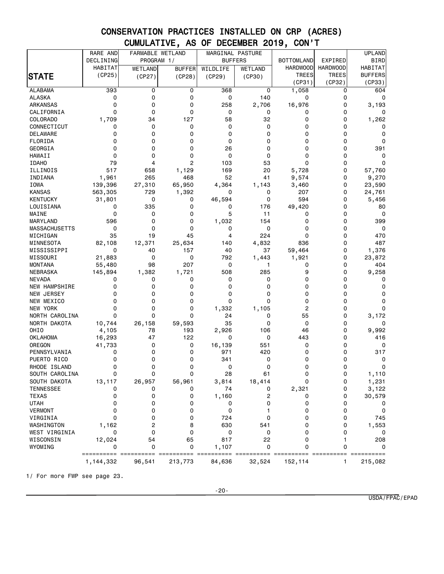|                               | RARE AND        | FARMABLE WETLAND |                | MARGINAL PASTURE |                |                   |                 | <b>UPLAND</b>  |
|-------------------------------|-----------------|------------------|----------------|------------------|----------------|-------------------|-----------------|----------------|
|                               | DECLINING       | PROGRAM 1/       |                |                  | <b>BUFFERS</b> | <b>BOTTOMLAND</b> | EXPIRED         | <b>BIRD</b>    |
|                               | <b>HABITAT</b>  | WETLAND          | <b>BUFFER</b>  | WILDLIFE         | WETLAND        | <b>HARDWOOD</b>   | <b>HARDWOOD</b> | <b>HABITAT</b> |
| STATE                         | (CP25)          | (CP27)           | (CP28)         | (CP29)           | (CP30)         | <b>TREES</b>      | <b>TREES</b>    | <b>BUFFERS</b> |
|                               |                 |                  |                |                  |                | (CP31)            | (CP32)          | (CP33)         |
| ALABAMA                       | 393             | 0                | 0              | 368              | 0              | 1,058             | 0               | 604            |
| <b>ALASKA</b>                 | 0               | 0                | 0              | 0                | 140            | 0                 | 0               | 0              |
| ARKANSAS                      | 0               | 0                | 0              | 258              | 2,706          | 16,976            | $\mathbf 0$     | 3,193          |
| CALIFORNIA                    | 0               | 0                | 0              | 0                | 0              | 0                 | $\mathbf 0$     | 0              |
| COLORADO                      | 1,709           | 34               | 127            | 58               | 32             | 0                 | 0               | 1,262          |
| CONNECTICUT                   | 0               | 0                | 0              | 0                | 0              | 0                 | 0               | 0              |
| DELAWARE                      | 0               | 0                | 0              | 0                | 0              | 0                 | $\mathbf 0$     | 0              |
| FLORIDA                       | 0               | 0                | 0              | 0                | 0              | 0                 | 0               | 0              |
| GEORGIA                       | 0               | 0                | 0              | 26               | 0              | 0                 | 0               | 391            |
| <b>HAWAII</b>                 | 0               | 0                | 0              | 0                | 0              | 0                 | $\mathbf 0$     | 0              |
| <b>IDAHO</b>                  | 79              | 4                | $\overline{c}$ | 103              | 53             | 0                 | 0               | 0              |
| ILLINOIS                      | 517             | 658              | 1,129          | 169              | 20             | 5,728             | 0               | 57,760         |
| INDIANA                       | 1,961           | 265              | 468            | 52               | 41             | 9,574             | 0               | 9,270          |
| IOWA                          | 139,396         | 27,310           | 65,950         | 4,364            | 1,143          | 3,460             | 0               | 23,590         |
| <b>KANSAS</b>                 | 563,305         | 729              | 1,392          | 0                | 0              | 207               | 0               | 24,761         |
| KENTUCKY                      | 31,801          | 0                | 0              | 46,594           | 0              | 594               | $\mathbf 0$     | 5,456          |
| LOUISIANA                     | 0               | 335              | 0              | 0                | 176            | 49,420            | 0               | 80             |
| MAINE                         | 0               | 0                | 0              | 5                | 11             | 0                 | 0               | 0              |
| MARYLAND                      | 596             | 0                | 0              | 1,032            | 154            | 0                 | $\Omega$        | 399            |
| MASSACHUSETTS                 | 0               | 0                | 0              | 0                | 0              | 0                 | 0               | 0              |
| MICHIGAN                      | 35              | 19               | 45             | 4                | 224            | 0                 | 0               | 470            |
| MINNESOTA                     | 82,108          | 12,371           | 25,634         | 140              | 4,832          | 836               | $\Omega$        | 487            |
| MISSISSIPPI                   | 0               | 40               | 157            | 40               | 37             | 59,464            | 0               | 1,376          |
| MISSOURI                      | 21,883          | 0                | 0              | 792              | 1,443          | 1,921             | 0               | 23,872         |
| MONTANA                       | 55,480          | 98               | 207            | 0                | 1              | 0                 | $\Omega$        | 404            |
| NEBRASKA                      | 145,894         | 1,382            | 1,721          | 508              | 285            | 9                 | 0               | 9,258          |
| <b>NEVADA</b>                 | 0               | 0                | 0              | 0                | 0              | 0                 | 0               | 0              |
| NEW HAMPSHIRE                 | 0               | 0                | 0              | 0                | 0              | 0                 | 0               | 0              |
| NEW JERSEY                    | 0               | 0                | 0              | 0                | 0              | 0                 | 0               | 0              |
| NEW MEXICO                    | 0               | 0                | 0              | 0                | 0              | 0                 | 0               | 0              |
| <b>NEW YORK</b>               | 0               | 0                | 0              | 1,332            | 1,105          | 2                 | $\Omega$        | 0              |
| NORTH CAROLINA                | 0               | 0                | 0              | 24               | 0              | 55                | 0               | 3,172          |
| NORTH DAKOTA                  | 10,744          | 26,158           | 59,593         | 35               | 0              | 0                 | 0               | 0              |
| OHIO                          | 4,105           | 78               | 193            | 2,926            | 106            | 46                | 0               | 9,992          |
| <b>OKLAHOMA</b>               | 16,293          | 47               | 122            | 0                | 0              | 443               | 0               | 416            |
| OREGON                        | 41,733          | 0                | 0              | 16,139           | 551            | 0                 | 0               | 0              |
| PENNSYLVANIA                  | 0               | 0                | 0              | 971              | 420            | 0                 | 0               | 317            |
| PUERTO RICO                   | 0               | 0                | 0              | 341              | 0              | 0                 | 0               | 0              |
| RHODE ISLAND                  | 0               | 0<br>0           | 0<br>O         | 0<br>28          | 0              | 0<br>O            | 0<br>$\Omega$   | 0              |
| SOUTH CAROLINA                | 0               |                  |                |                  | 61             |                   |                 | 1,110          |
| SOUTH DAKOTA                  | 13,117          | 26,957           | 56,961         | 3,814            | 18,414         | 0                 | 0               | 1,231          |
| <b>TENNESSEE</b>              | 0               | 0                | 0              | 74               | 0              | 2,321             | 0               | 3,122          |
| <b>TEXAS</b>                  | 0               | 0                | 0              | 1,160            | 2              | 0                 | 0               | 30,579         |
| <b>UTAH</b><br><b>VERMONT</b> | 0<br>0          | 0                | 0              | 0                | 0              | 0                 | 0               | 0              |
|                               |                 | 0                | 0              | 0                |                | 0                 | 0               | 0              |
| VIRGINIA                      | 0               | 0                | 0              | 724              | 0              | 0                 | 0               | 745            |
| WASHINGTON                    | 1,162           | 2                | 8              | 630              | 541            | 0                 | 0               | 1,553          |
| WEST VIRGINIA                 | 0               | 0                | 0              | 0                | 0              | 0                 | 0               | 0              |
| WISCONSIN                     | 12,024          | 54               | 65             | 817              | 22             | 0                 | 1               | 208            |
| WYOMING                       | 0<br>========== | 0                | 0              | 1,107            | 0              | 0                 | 0               | 0<br>========= |
|                               | 1, 144, 332     | 96,541           | 213,773        | 84,636           | 32,524         | 152,114           | 1               | 215,082        |

1/ For more FWP see page 23.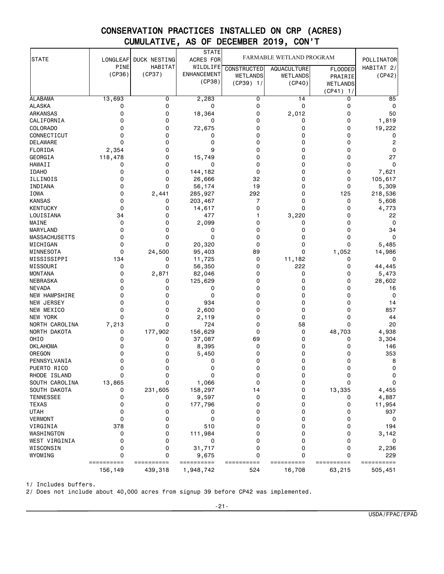|                      |             |              | <b>STATE</b>       |                    |                          |                 |                |
|----------------------|-------------|--------------|--------------------|--------------------|--------------------------|-----------------|----------------|
| <b>STATE</b>         | LONGLEAF    | DUCK NESTING | ACRES FOR          |                    | FARMABLE WETLAND PROGRAM |                 | POLLINATOR     |
|                      | PINE        | HABITAT      | WILDLIFE           | <b>CONSTRUCTED</b> | <b>AQUACULTURE</b>       | <b>FLOODED</b>  | HABITAT $2/$   |
|                      | (CP36)      | (CP37)       | <b>ENHANCEMENT</b> | WETLANDS           | <b>WETLANDS</b>          | PRAIRIE         | (CP42)         |
|                      |             |              | (CP38)             | $(CP39)$ 1/        | (CP40)                   | <b>WETLANDS</b> |                |
|                      |             |              |                    |                    |                          | (CP41)<br>1/    |                |
| <b>ALABAMA</b>       | 13,693      | 0            | 2,283              | 0                  | 14                       | 0               | 85             |
| ALASKA               | 0           | 0            | 0                  | 0                  | 0                        | 0               | 0              |
| ARKANSAS             | 0           | 0            | 18,364             | 0                  | 2,012                    | 0               | 50             |
| CALIFORNIA           | 0           | 0            | 0                  | 0                  | 0                        | 0               | 1,819          |
| <b>COLORADO</b>      | 0           | 0            | 72,675             | 0                  | 0                        | 0               | 19,222         |
| CONNECTICUT          | 0           | 0            | 0                  | 0                  | 0                        | 0               | 0              |
| <b>DELAWARE</b>      | $\mathbf 0$ | 0            | 0                  | 0                  | 0                        | 0               | $\overline{c}$ |
| FLORIDA              | 2,354       | 0            | 9                  | 0                  | 0                        | 0               | 0              |
| GEORGIA              | 118,478     | 0            | 15,749             | 0                  | 0                        | 0               | 27             |
| <b>HAWAII</b>        | 0           | 0            | 0                  | 0                  | 0                        | 0               | $\mathbf 0$    |
| <b>IDAHO</b>         | 0           | 0            | 144,182            | 0                  | 0                        | 0               | 7,621          |
| ILLINOIS             | 0           | 0            | 26,666             | 32                 | 0                        | 0               | 105,617        |
| INDIANA              | 0           | 0            | 56,174             | 19                 | 0                        | 0               | 5,309          |
| IOWA                 | 0           | 2,441        | 285,927            | 292                | 0                        | 125             | 218,536        |
| <b>KANSAS</b>        | 0           | 0            | 203,467            | 7                  | 0                        | 0               | 5,608          |
| <b>KENTUCKY</b>      | 0           | 0            | 14,617             | 0                  | 0                        | 0               | 4,773          |
| LOUISIANA            | 34          | 0            | 477                | 1                  | 3,220                    | 0               | 22             |
| MAINE                | 0           | 0            | 2,099              | 0                  | 0                        | 0               | 0              |
| MARYLAND             | 0           | 0            | 0                  | 0                  | 0                        | 0               | 34             |
| <b>MASSACHUSETTS</b> | 0           | 0            | 0                  | 0                  | 0                        | 0               | $\Omega$       |
| MICHIGAN             | 0           | 0            | 20,320             | 0                  | 0                        | 0               | 5,485          |
| MINNESOTA            | 0           | 24,500       | 95,403             | 89                 | 0                        | 1,052           | 14,986         |
| MISSISSIPPI          | 134         | 0            | 11,725             | 0                  | 11,182                   | 0               | 0              |
| MISSOURI             | 0           | 0            | 56,350             | 0                  | 222                      | 0               | 44,445         |
| <b>MONTANA</b>       | 0           | 2,871        | 82,046             | 0                  | 0                        | 0               | 5,473          |
| NEBRASKA             | 0           | 0            | 125,629            | 0                  | 0                        | 0               | 28,602         |
| <b>NEVADA</b>        | 0           | 0            | 0                  | 0                  | 0                        | 0               | 16             |
| NEW HAMPSHIRE        | 0           | 0            | 0                  | 0                  | 0                        | 0               | 0              |
| <b>NEW JERSEY</b>    | 0           | 0            | 934                | 0                  | 0                        | 0               | 14             |
| NEW MEXICO           | 0           | 0            | 2,600              | 0                  | 0                        | 0               | 857            |
| <b>NEW YORK</b>      | 0           | 0            | 2,119              | 0                  | 0                        | 0               | 44             |
| NORTH CAROLINA       | 7,213       | 0            | 724                | 0                  | 58                       | 0               | 20             |
| NORTH DAKOTA         | 0           | 177,902      | 156,629            | 0                  | 0                        | 48,703          | 4,938          |
| OHI <sub>0</sub>     | 0           | 0            | 37,087             | 69                 | 0                        | 0               | 3,304          |
| <b>OKLAHOMA</b>      | 0           | 0            | 8,395              | 0                  | 0                        | 0               | 146            |
| OREGON               | 0           | 0            | 5,450              | 0                  | 0                        | 0               | 353            |
| PENNSYLVANIA         | 0           | 0            | 0                  | 0                  | 0                        | 0               | 8              |
| PUERTO RICO          | 0           | 0            | 0                  | 0                  | 0                        | 0               | 0              |
| RHODE ISLAND         | 0           | 0            | 0                  | 0                  | 0                        | 0               | 0              |
| SOUTH CAROLINA       | 13,865      | 0            | 1,066              | 0                  | 0                        | 0               | $\mathbf 0$    |
| SOUTH DAKOTA         | 0           | 231,605      | 158,297            | 14                 | 0                        | 13,335          | 4,455          |
| <b>TENNESSEE</b>     | 0           | 0            | 9,597              | 0                  | 0                        | 0               | 4,887          |
| <b>TEXAS</b>         | 0           | 0            | 177,796            | 0                  | 0                        | 0               | 11,954         |
| <b>UTAH</b>          | 0           | 0            | 0                  | 0                  | 0                        | 0               | 937            |
| <b>VERMONT</b>       | 0           | 0            | 0                  | 0                  | 0                        | 0               | 0              |
| VIRGINIA             | 378         | 0            | 510                | 0                  | 0                        | 0               | 194            |
| WASHINGTON           | 0           | 0            | 111,984            | 0                  | 0                        | 0               | 3,142          |
| WEST VIRGINIA        | 0           | 0            | 0                  | 0                  | 0                        | 0               | 0              |
| WISCONSIN            | 0           | 0            | 31,717             | 0                  | 0                        | 0               | 2,236          |
| WYOMING              | 0           | 0            | 9,675              | 0                  | 0                        | 0               | 229            |
|                      | ==========  | ==========   | ==========         | ==========         | ==========               | ==========      | ==========     |
|                      | 156,149     | 439,318      | 1,948,742          | 524                | 16,708                   | 63,215          | 505,451        |

1/ Includes buffers.

2/ Does not include about 40,000 acres from signup 39 before CP42 was implemented.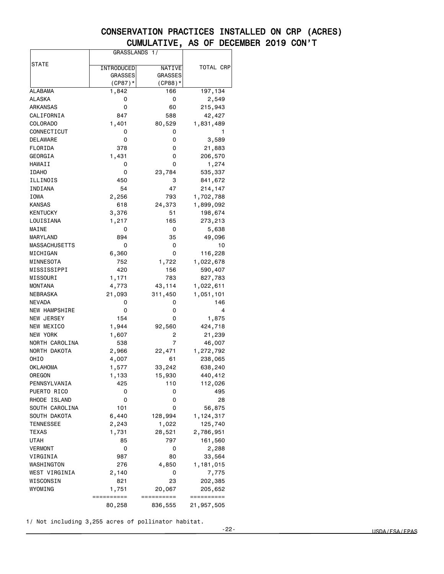|                 | GRASSLANDS 1/      |                  |            |
|-----------------|--------------------|------------------|------------|
| <b>STATE</b>    |                    |                  |            |
|                 | INTRODUCED         | NATIVE           | TOTAL CRP  |
|                 | <b>GRASSES</b>     | <b>GRASSES</b>   |            |
| ALABAMA         | $(CP87)*$<br>1,842 | $(CP88)*$<br>166 | 197,134    |
| ALASKA          | 0                  | 0                | 2,549      |
| ARKANSAS        | 0                  | 60               | 215,943    |
| CALIFORNIA      | 847                | 588              | 42,427     |
| COLORADO        | 1,401              | 80,529           | 1,831,489  |
| CONNECTICUT     | 0                  | 0                | 1          |
| DELAWARE        | 0                  | 0                | 3,589      |
| FLORIDA         | 378                | 0                | 21,883     |
| GEORGIA         | 1,431              | 0                | 206,570    |
| HAWAII          | 0                  | 0                | 1,274      |
| <b>IDAHO</b>    | 0                  | 23,784           | 535,337    |
| ILLINOIS        | 450                | 3                | 841,672    |
| INDIANA         | 54                 | 47               | 214,147    |
| IOWA            | 2,256              | 793              | 1,702,788  |
| KANSAS          | 618                | 24,373           | 1,899,092  |
| KENTUCKY        | 3,376              | 51               | 198,674    |
| LOUISIANA       | 1,217              | 165              | 273,213    |
| MAINE           | 0                  | 0                | 5,638      |
| MARYLAND        | 894                | 35               | 49,096     |
| MASSACHUSETTS   | 0                  | 0                | 10         |
| MICHIGAN        | 6,360              | 0                | 116,228    |
| MINNESOTA       | 752                | 1,722            | 1,022,678  |
| MISSISSIPPI     | 420                | 156              | 590,407    |
| MISSOURI        | 1,171              | 783              | 827,783    |
| MONTANA         | 4,773              | 43,114           | 1,022,611  |
| NEBRASKA        | 21,093             | 311,450          | 1,051,101  |
| NEVADA          | 0                  | 0                | 146        |
| NEW HAMPSHIRE   | 0                  | 0                | 4          |
| NEW JERSEY      | 154                | 0                | 1,875      |
| NEW MEXICO      | 1,944              | 92,560           | 424,718    |
| <b>NEW YORK</b> | 1,607              | 2                | 21,239     |
| NORTH CAROLINA  | 538                | 7                | 46,007     |
| NORTH DAKOTA    | 2,966              | 22,471           | 1,272,792  |
| OHIO            | 4,007              | 61               | 238,065    |
| OKLAHOMA        | 1,577              | 33,242           | 638,240    |
| OREGON          | 1,133              | 15,930           | 440,412    |
| PENNSYLVANIA    | 425                | 110              | 112,026    |
| PUERTO RICO     | 0                  | 0                | 495        |
| RHODE ISLAND    | 0                  | 0                | 28         |
| SOUTH CAROLINA  | 101                | 0                | 56,875     |
| SOUTH DAKOTA    | 6,440              | 128,994          | 1,124,317  |
| TENNESSEE       | 2,243              | 1,022            | 125,740    |
| TEXAS           | 1,731              | 28,521           | 2,786,951  |
| UTAH            | 85                 | 797              | 161,560    |
| VERMONT         | 0                  | 0                | 2,288      |
| VIRGINIA        | 987                | 80               | 33,564     |
| WASHINGTON      | 276                | 4,850            | 1,181,015  |
| WEST VIRGINIA   | 2,140              | 0                | 7,775      |
| WISCONSIN       | 821                | 23               | 202,385    |
| WYOMING         | 1,751              | 20,067           | 205,652    |
|                 | ==========         | ==========       | ========== |
|                 | 80,258             | 836,555          | 21,957,505 |

1/ Not including 3,255 acres of pollinator habitat.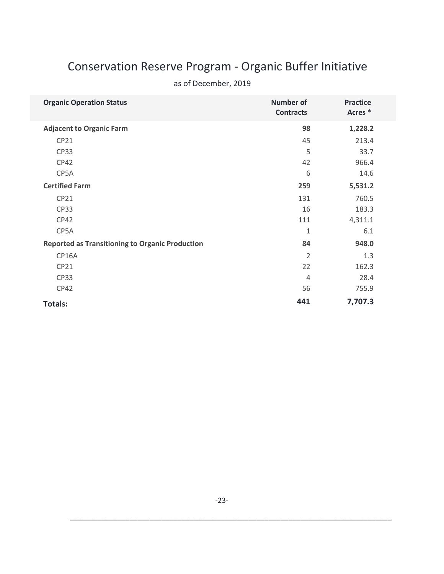# Conservation Reserve Program - Organic Buffer Initiative

| <b>Organic Operation Status</b>                        | <b>Number of</b><br><b>Contracts</b> | <b>Practice</b><br>Acres <sup>*</sup> |
|--------------------------------------------------------|--------------------------------------|---------------------------------------|
| <b>Adjacent to Organic Farm</b>                        | 98                                   | 1,228.2                               |
| CP21                                                   | 45                                   | 213.4                                 |
| <b>CP33</b>                                            | 5                                    | 33.7                                  |
| <b>CP42</b>                                            | 42                                   | 966.4                                 |
| CP5A                                                   | 6                                    | 14.6                                  |
| <b>Certified Farm</b>                                  | 259                                  | 5,531.2                               |
| CP21                                                   | 131                                  | 760.5                                 |
| <b>CP33</b>                                            | 16                                   | 183.3                                 |
| <b>CP42</b>                                            | 111                                  | 4,311.1                               |
| CP5A                                                   | 1                                    | 6.1                                   |
| <b>Reported as Transitioning to Organic Production</b> | 84                                   | 948.0                                 |
| CP16A                                                  | $\overline{2}$                       | 1.3                                   |
| CP21                                                   | 22                                   | 162.3                                 |
| <b>CP33</b>                                            | $\overline{4}$                       | 28.4                                  |
| <b>CP42</b>                                            | 56                                   | 755.9                                 |
| <b>Totals:</b>                                         | 441                                  | 7,707.3                               |

# as of December, 2019

\_\_\_\_\_\_\_\_\_\_\_\_\_\_\_\_\_\_\_\_\_\_\_\_\_\_\_\_\_\_\_\_\_\_\_\_\_\_\_\_\_\_\_\_\_\_\_\_\_\_\_\_\_\_\_\_\_\_\_\_\_\_\_\_\_\_\_\_\_\_\_\_\_\_\_\_\_\_\_\_\_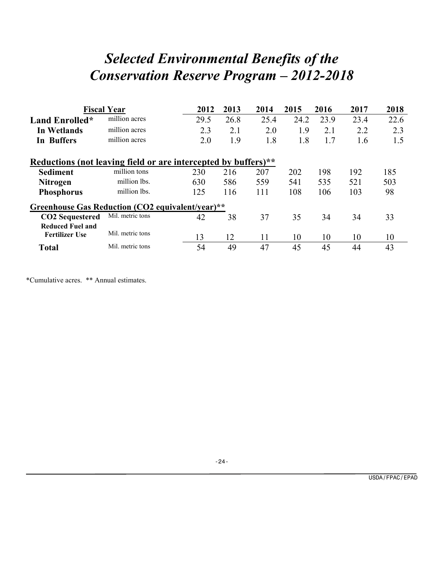# *Selected Environmental Benefits of the Conservation Reserve Program – 2012-2018*

|                                                                | <b>Fiscal Year</b> | 2012 | 2013 | 2014 | 2015 | 2016 | 2017 | 2018 |  |
|----------------------------------------------------------------|--------------------|------|------|------|------|------|------|------|--|
| Land Enrolled*                                                 | million acres      | 29.5 | 26.8 | 25.4 | 24.2 | 23.9 | 23.4 | 22.6 |  |
| In Wetlands                                                    | million acres      | 2.3  | 2.1  | 2.0  | 1.9  | 2.1  | 2.2  | 2.3  |  |
| <b>In Buffers</b>                                              | million acres      | 2.0  | 1.9  | 1.8  | 1.8  | 1.7  | 1.6  | 1.5  |  |
| Reductions (not leaving field or are intercepted by buffers)** |                    |      |      |      |      |      |      |      |  |
| <b>Sediment</b>                                                | million tons       | 230  | 216  | 207  | 202  | 198  | 192  | 185  |  |
| <b>Nitrogen</b>                                                | million lbs.       | 630  | 586  | 559  | 541  | 535  | 521  | 503  |  |
| <b>Phosphorus</b>                                              | million lbs.       | 125  | 116  | 111  | 108  | 106  | 103  | 98   |  |
| Greenhouse Gas Reduction (CO2 equivalent/year)**               |                    |      |      |      |      |      |      |      |  |
| <b>CO2</b> Sequestered                                         | Mil. metric tons   | 42   | 38   | 37   | 35   | 34   | 34   | 33   |  |
| <b>Reduced Fuel and</b>                                        |                    |      |      |      |      |      |      |      |  |
| <b>Fertilizer Use</b>                                          | Mil. metric tons   | 13   | 12   | 11   | 10   | 10   | 10   | 10   |  |
| <b>Total</b>                                                   | Mil. metric tons   | 54   | 49   | 47   | 45   | 45   | 44   | 43   |  |

\*Cumulative acres. \*\* Annual estimates.

-24-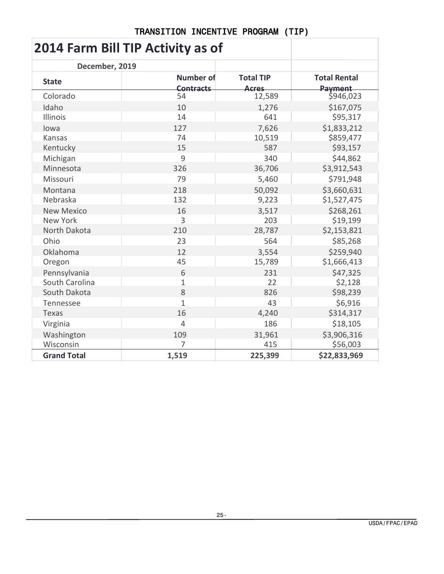# **2014 Farm Bill TIP Activity as of**

| December, 2019     |                                      |                           |                                |
|--------------------|--------------------------------------|---------------------------|--------------------------------|
| <b>State</b>       | <b>Number of</b><br><b>Contracts</b> | <b>Total TIP</b><br>Acres | <b>Total Rental</b><br>Payment |
| Colorado           | 54                                   | 12,589                    | \$946,023                      |
| Idaho              | 10                                   | 1,276                     | \$167,075                      |
| <b>Illinois</b>    | 14                                   | 641                       | \$95,317                       |
| lowa               | 127                                  | 7,626                     | \$1,833,212                    |
| Kansas             | 74                                   | 10,519                    | \$859,477                      |
| Kentucky           | 15                                   | 587                       | \$93,157                       |
| Michigan           | 9                                    | 340                       | \$44,862                       |
| Minnesota          | 326                                  | 36,706                    | \$3,912,543                    |
| Missouri           | 79                                   | 5,460                     | \$791,948                      |
| Montana            | 218                                  | 50,092                    | \$3,660,631                    |
| Nebraska           | 132                                  | 9,223                     | \$1,527,475                    |
| <b>New Mexico</b>  | 16                                   | 3,517                     | \$268,261                      |
| <b>New York</b>    | 3                                    | 203                       | \$19,199                       |
| North Dakota       | 210                                  | 28,787                    | \$2,153,821                    |
| Ohio               | 23                                   | 564                       | \$85,268                       |
| Oklahoma           | 12                                   | 3,554                     | \$259,940                      |
| Oregon             | 45                                   | 15,789                    | \$1,666,413                    |
| Pennsylvania       | 6                                    | 231                       | \$47,325                       |
| South Carolina     | $\mathbf{1}$                         | 22                        | \$2,128                        |
| South Dakota       | 8                                    | 826                       | \$98,239                       |
| Tennessee          | $\mathbf{1}$                         | 43                        | \$6,916                        |
| Texas              | 16                                   | 4,240                     | \$314,317                      |
| Virginia           | $\overline{4}$                       | 186                       | \$18,105                       |
| Washington         | 109                                  | 31,961                    | \$3,906,316                    |
| Wisconsin          | 7                                    | 415                       | \$56,003                       |
| <b>Grand Total</b> | 1,519                                | 225,399                   | \$22,833,969                   |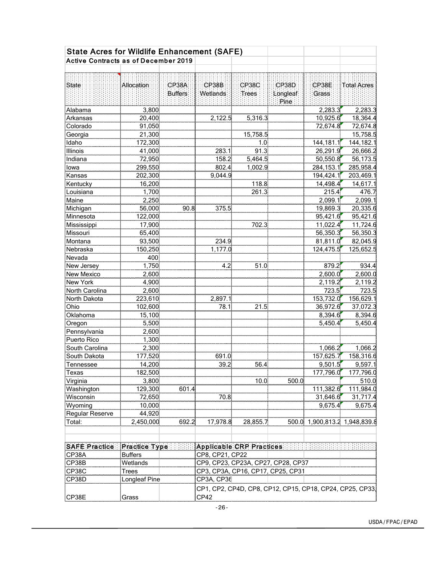| <b>State Acres for Wildlife Enhancement (SAFE)</b> |                  |                |                                                                  |                                    |          |                               |                      |  |
|----------------------------------------------------|------------------|----------------|------------------------------------------------------------------|------------------------------------|----------|-------------------------------|----------------------|--|
| <b>Active Contracts as of December 2019</b>        |                  |                |                                                                  |                                    |          |                               |                      |  |
|                                                    |                  |                |                                                                  |                                    |          |                               |                      |  |
|                                                    |                  |                |                                                                  |                                    |          |                               |                      |  |
| State                                              | Allocation:      | CP38A          | CP38B                                                            | CP38C                              | CP38D    | CP38E                         | Total Acres          |  |
|                                                    |                  | <b>Buffers</b> | Wetlands                                                         | Trees                              | Longleaf | Grass                         |                      |  |
|                                                    |                  |                |                                                                  |                                    | Pine     |                               |                      |  |
| Alabama                                            | 3,800            |                |                                                                  |                                    |          | 2,283.3<br>10,925.6           | 2,283.3              |  |
| Arkansas<br>Colorado                               | 20,400           |                | 2,122.5                                                          | 5,316.3                            |          | 72,674.8                      | 18,364.4<br>72,674.8 |  |
|                                                    | 91,050<br>21,300 |                |                                                                  | 15,758.5                           |          |                               | 15,758.5             |  |
| Georgia<br>Idaho                                   | 172,300          |                |                                                                  | 1.0                                |          | 144,181.1                     | 144, 182.1           |  |
| Illinois                                           | 41,000           |                | 283.1                                                            | 91.3                               |          | 26,291.9                      | 26,666.2             |  |
| Indiana                                            | 72,950           |                | 158.2                                                            | 5,464.5                            |          | 50,550.8                      | 56,173.5             |  |
| lowa                                               | 299,550          |                | 802.4                                                            | 1,002.9                            |          | 284, 153.1                    | 285,958.4            |  |
| Kansas                                             | 202,300          |                | 9,044.9                                                          |                                    |          | 194,424.1                     | 203,469.1            |  |
| Kentucky                                           | 16,200           |                |                                                                  | 118.8                              |          | 14,498.4                      | 14,617.1             |  |
| Louisiana                                          | 1,700            |                |                                                                  | 261.3                              |          | 215.4                         | 476.7                |  |
| Maine                                              | 2,250            |                |                                                                  |                                    |          | 2,099.1                       | 2,099.1              |  |
| Michigan                                           | 56,000           | 90.8           | 375.5                                                            |                                    |          | 19,869.3                      | 20,335.6             |  |
| Minnesota                                          | 122,000          |                |                                                                  |                                    |          | 95,421.6                      | 95,421.6             |  |
| Mississippi                                        | 17,900           |                |                                                                  | 702.3                              |          | 11,022.4                      | 11,724.6             |  |
| Missouri                                           | 65,400           |                |                                                                  |                                    |          | 56,350.3                      | 56,350.3             |  |
| Montana                                            | 93,500           |                | 234.9                                                            |                                    |          | 81,811.0                      | 82,045.9             |  |
| Nebraska                                           | 150,250          |                | 1,177.0                                                          |                                    |          | 124,475.5                     | 125,652.5            |  |
| Nevada                                             | 400              |                |                                                                  |                                    |          |                               |                      |  |
| New Jersey                                         | 1,750            |                | 4.2                                                              | 51.0                               |          | 879.2                         | 934.4                |  |
| New Mexico                                         | 2,600            |                |                                                                  |                                    |          | 2,600.0                       | 2,600.0              |  |
| New York                                           | 4,900            |                |                                                                  |                                    |          | 2,119.2                       | 2,119.2              |  |
| North Carolina                                     | 2,600            |                |                                                                  |                                    |          | 723.5                         | 723.5                |  |
| North Dakota                                       | 223,610          |                | 2,897.1                                                          |                                    |          | 153,732.0                     | 156,629.1            |  |
| Ohio                                               | 102,600          |                | 78.1                                                             | 21.5                               |          | 36,972.6                      | 37,072.3             |  |
| Oklahoma                                           | 15,100           |                |                                                                  |                                    |          | 8,394.6                       | 8,394.6              |  |
| Oregon                                             | 5,500            |                |                                                                  |                                    |          | 5,450.4                       | 5,450.4              |  |
| Pennsylvania                                       | 2,600            |                |                                                                  |                                    |          |                               |                      |  |
| Puerto Rico                                        | 1,300            |                |                                                                  |                                    |          |                               |                      |  |
| South Carolina                                     | 2,300            |                |                                                                  |                                    |          | 1,066.2                       | 1,066.2              |  |
| South Dakota                                       | 177,520          |                | 691.0                                                            |                                    |          | 157,625.7                     | 158,316.6            |  |
| Tennessee                                          | 14,200           |                | 39.2                                                             | 56.4                               |          | 9,501.5                       | 9,597.1              |  |
| Texas                                              | 182,500          |                |                                                                  |                                    |          | 177,796.0                     | 177,796.0            |  |
| Virginia                                           | 3,800            |                |                                                                  | 10.0                               | 500.0    |                               | 510.0                |  |
| Washington                                         | 129,300          | 601.4          |                                                                  |                                    |          | 111,382.6                     | 111,984.0            |  |
| Wisconsin                                          | 72,650           |                | 70.8                                                             |                                    |          | 31,646.6                      | 31,717.4             |  |
| Wyoming                                            | 10,000           |                |                                                                  |                                    |          | 9,675.4                       | 9,675.4              |  |
| Regular Reserve                                    | 44,920           |                |                                                                  |                                    |          |                               |                      |  |
| Total:                                             | 2,450,000        | 692.2          | 17,978.8                                                         | 28,855.7                           |          | 500.0 1,900,813.2 1,948,839.8 |                      |  |
|                                                    |                  |                |                                                                  |                                    |          |                               |                      |  |
|                                                    |                  |                |                                                                  |                                    |          |                               |                      |  |
| SAFE Practice                                      | Practice Type    |                | Applicable CRP Practices                                         |                                    |          |                               |                      |  |
| CP38A                                              | <b>Buffers</b>   |                | CP8, CP21, CP22                                                  |                                    |          |                               |                      |  |
| CP38B                                              | Wetlands         |                |                                                                  | CP9, CP23, CP23A, CP27, CP28, CP37 |          |                               |                      |  |
| CP38C                                              | <b>Trees</b>     |                | CP3, CP3A, CP16, CP17, CP25, CP31                                |                                    |          |                               |                      |  |
| CP38D                                              | Longleaf Pine    |                | CP3A, CP36                                                       |                                    |          |                               |                      |  |
|                                                    |                  |                |                                                                  |                                    |          |                               |                      |  |
| CP38E                                              | Grass            |                | CP1, CP2, CP4D, CP8, CP12, CP15, CP18, CP24, CP25, CP33,<br>CP42 |                                    |          |                               |                      |  |
|                                                    |                  |                |                                                                  |                                    |          |                               |                      |  |